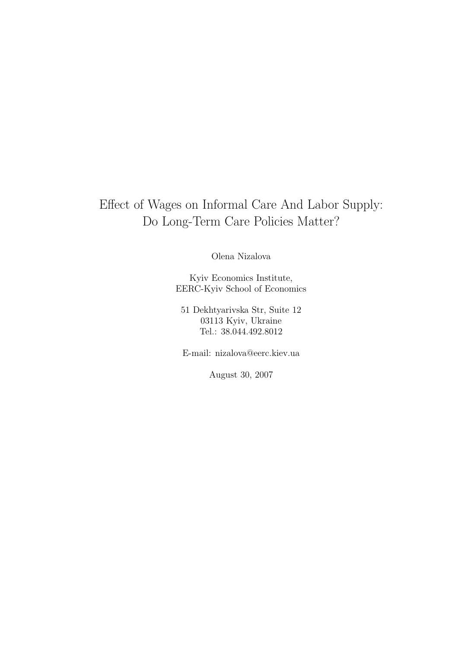# Effect of Wages on Informal Care And Labor Supply: Do Long-Term Care Policies Matter?

Olena Nizalova

Kyiv Economics Institute, EERC-Kyiv School of Economics

51 Dekhtyarivska Str, Suite 12 03113 Kyiv, Ukraine Tel.: 38.044.492.8012

E-mail: nizalova@eerc.kiev.ua

August 30, 2007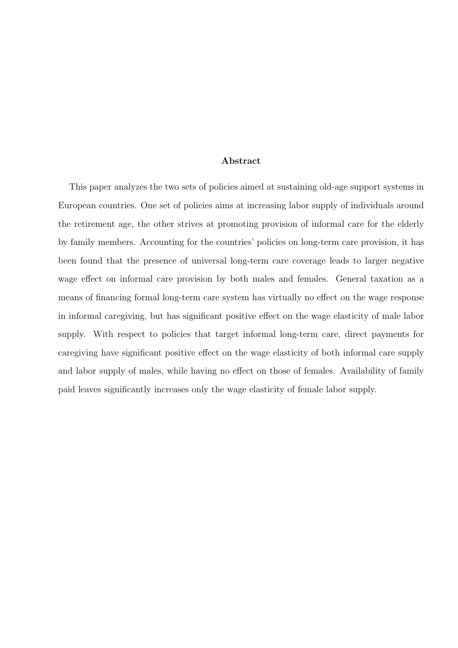## Abstract

This paper analyzes the two sets of policies aimed at sustaining old-age support systems in European countries. One set of policies aims at increasing labor supply of individuals around the retirement age, the other strives at promoting provision of informal care for the elderly by family members. Accounting for the countries' policies on long-term care provision, it has been found that the presence of universal long-term care coverage leads to larger negative wage effect on informal care provision by both males and females. General taxation as a means of financing formal long-term care system has virtually no effect on the wage response in informal caregiving, but has significant positive effect on the wage elasticity of male labor supply. With respect to policies that target informal long-term care, direct payments for caregiving have significant positive effect on the wage elasticity of both informal care supply and labor supply of males, while having no effect on those of females. Availability of family paid leaves significantly increases only the wage elasticity of female labor supply.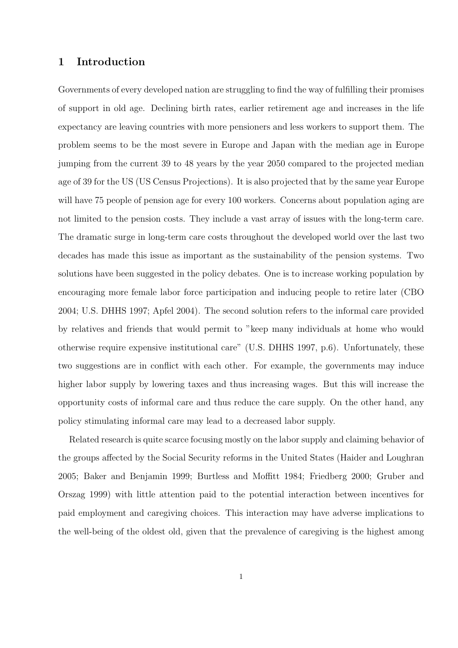# 1 Introduction

Governments of every developed nation are struggling to find the way of fulfilling their promises of support in old age. Declining birth rates, earlier retirement age and increases in the life expectancy are leaving countries with more pensioners and less workers to support them. The problem seems to be the most severe in Europe and Japan with the median age in Europe jumping from the current 39 to 48 years by the year 2050 compared to the projected median age of 39 for the US (US Census Projections). It is also projected that by the same year Europe will have 75 people of pension age for every 100 workers. Concerns about population aging are not limited to the pension costs. They include a vast array of issues with the long-term care. The dramatic surge in long-term care costs throughout the developed world over the last two decades has made this issue as important as the sustainability of the pension systems. Two solutions have been suggested in the policy debates. One is to increase working population by encouraging more female labor force participation and inducing people to retire later (CBO 2004; U.S. DHHS 1997; Apfel 2004). The second solution refers to the informal care provided by relatives and friends that would permit to "keep many individuals at home who would otherwise require expensive institutional care" (U.S. DHHS 1997, p.6). Unfortunately, these two suggestions are in conflict with each other. For example, the governments may induce higher labor supply by lowering taxes and thus increasing wages. But this will increase the opportunity costs of informal care and thus reduce the care supply. On the other hand, any policy stimulating informal care may lead to a decreased labor supply.

Related research is quite scarce focusing mostly on the labor supply and claiming behavior of the groups affected by the Social Security reforms in the United States (Haider and Loughran 2005; Baker and Benjamin 1999; Burtless and Moffitt 1984; Friedberg 2000; Gruber and Orszag 1999) with little attention paid to the potential interaction between incentives for paid employment and caregiving choices. This interaction may have adverse implications to the well-being of the oldest old, given that the prevalence of caregiving is the highest among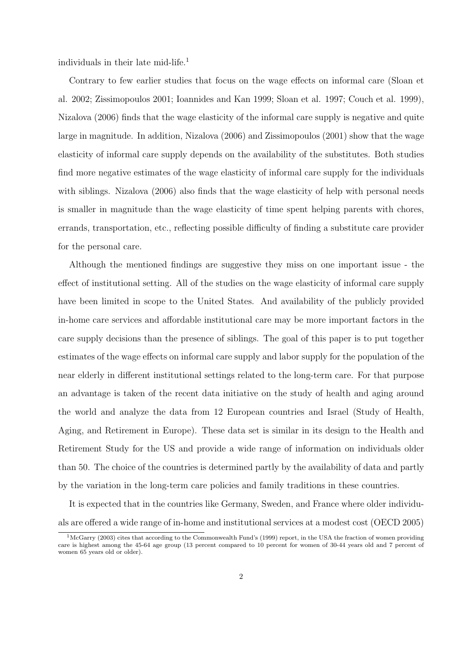individuals in their late mid-life.<sup>1</sup>

Contrary to few earlier studies that focus on the wage effects on informal care (Sloan et al. 2002; Zissimopoulos 2001; Ioannides and Kan 1999; Sloan et al. 1997; Couch et al. 1999), Nizalova (2006) finds that the wage elasticity of the informal care supply is negative and quite large in magnitude. In addition, Nizalova (2006) and Zissimopoulos (2001) show that the wage elasticity of informal care supply depends on the availability of the substitutes. Both studies find more negative estimates of the wage elasticity of informal care supply for the individuals with siblings. Nizalova (2006) also finds that the wage elasticity of help with personal needs is smaller in magnitude than the wage elasticity of time spent helping parents with chores, errands, transportation, etc., reflecting possible difficulty of finding a substitute care provider for the personal care.

Although the mentioned findings are suggestive they miss on one important issue - the effect of institutional setting. All of the studies on the wage elasticity of informal care supply have been limited in scope to the United States. And availability of the publicly provided in-home care services and affordable institutional care may be more important factors in the care supply decisions than the presence of siblings. The goal of this paper is to put together estimates of the wage effects on informal care supply and labor supply for the population of the near elderly in different institutional settings related to the long-term care. For that purpose an advantage is taken of the recent data initiative on the study of health and aging around the world and analyze the data from 12 European countries and Israel (Study of Health, Aging, and Retirement in Europe). These data set is similar in its design to the Health and Retirement Study for the US and provide a wide range of information on individuals older than 50. The choice of the countries is determined partly by the availability of data and partly by the variation in the long-term care policies and family traditions in these countries.

It is expected that in the countries like Germany, Sweden, and France where older individuals are offered a wide range of in-home and institutional services at a modest cost (OECD 2005)

 $1\text{McGarry (2003)}$  cites that according to the Commonwealth Fund's (1999) report, in the USA the fraction of women providing care is highest among the 45-64 age group (13 percent compared to 10 percent for women of 30-44 years old and 7 percent of women 65 years old or older).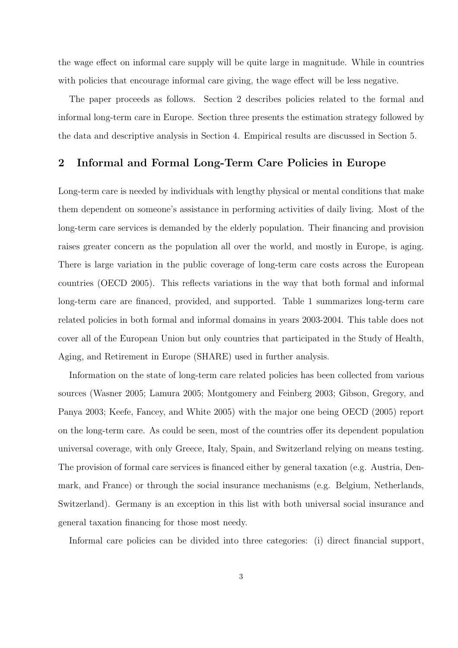the wage effect on informal care supply will be quite large in magnitude. While in countries with policies that encourage informal care giving, the wage effect will be less negative.

The paper proceeds as follows. Section 2 describes policies related to the formal and informal long-term care in Europe. Section three presents the estimation strategy followed by the data and descriptive analysis in Section 4. Empirical results are discussed in Section 5.

# 2 Informal and Formal Long-Term Care Policies in Europe

Long-term care is needed by individuals with lengthy physical or mental conditions that make them dependent on someone's assistance in performing activities of daily living. Most of the long-term care services is demanded by the elderly population. Their financing and provision raises greater concern as the population all over the world, and mostly in Europe, is aging. There is large variation in the public coverage of long-term care costs across the European countries (OECD 2005). This reflects variations in the way that both formal and informal long-term care are financed, provided, and supported. Table 1 summarizes long-term care related policies in both formal and informal domains in years 2003-2004. This table does not cover all of the European Union but only countries that participated in the Study of Health, Aging, and Retirement in Europe (SHARE) used in further analysis.

Information on the state of long-term care related policies has been collected from various sources (Wasner 2005; Lamura 2005; Montgomery and Feinberg 2003; Gibson, Gregory, and Panya 2003; Keefe, Fancey, and White 2005) with the major one being OECD (2005) report on the long-term care. As could be seen, most of the countries offer its dependent population universal coverage, with only Greece, Italy, Spain, and Switzerland relying on means testing. The provision of formal care services is financed either by general taxation (e.g. Austria, Denmark, and France) or through the social insurance mechanisms (e.g. Belgium, Netherlands, Switzerland). Germany is an exception in this list with both universal social insurance and general taxation financing for those most needy.

Informal care policies can be divided into three categories: (i) direct financial support,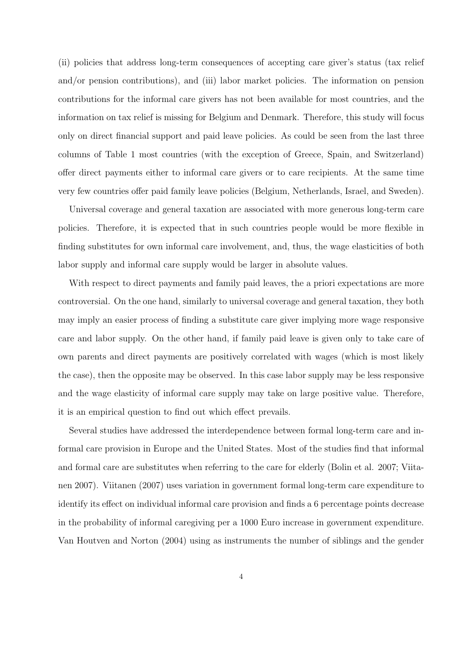(ii) policies that address long-term consequences of accepting care giver's status (tax relief and/or pension contributions), and (iii) labor market policies. The information on pension contributions for the informal care givers has not been available for most countries, and the information on tax relief is missing for Belgium and Denmark. Therefore, this study will focus only on direct financial support and paid leave policies. As could be seen from the last three columns of Table 1 most countries (with the exception of Greece, Spain, and Switzerland) offer direct payments either to informal care givers or to care recipients. At the same time very few countries offer paid family leave policies (Belgium, Netherlands, Israel, and Sweden).

Universal coverage and general taxation are associated with more generous long-term care policies. Therefore, it is expected that in such countries people would be more flexible in finding substitutes for own informal care involvement, and, thus, the wage elasticities of both labor supply and informal care supply would be larger in absolute values.

With respect to direct payments and family paid leaves, the a priori expectations are more controversial. On the one hand, similarly to universal coverage and general taxation, they both may imply an easier process of finding a substitute care giver implying more wage responsive care and labor supply. On the other hand, if family paid leave is given only to take care of own parents and direct payments are positively correlated with wages (which is most likely the case), then the opposite may be observed. In this case labor supply may be less responsive and the wage elasticity of informal care supply may take on large positive value. Therefore, it is an empirical question to find out which effect prevails.

Several studies have addressed the interdependence between formal long-term care and informal care provision in Europe and the United States. Most of the studies find that informal and formal care are substitutes when referring to the care for elderly (Bolin et al. 2007; Viitanen 2007). Viitanen (2007) uses variation in government formal long-term care expenditure to identify its effect on individual informal care provision and finds a 6 percentage points decrease in the probability of informal caregiving per a 1000 Euro increase in government expenditure. Van Houtven and Norton (2004) using as instruments the number of siblings and the gender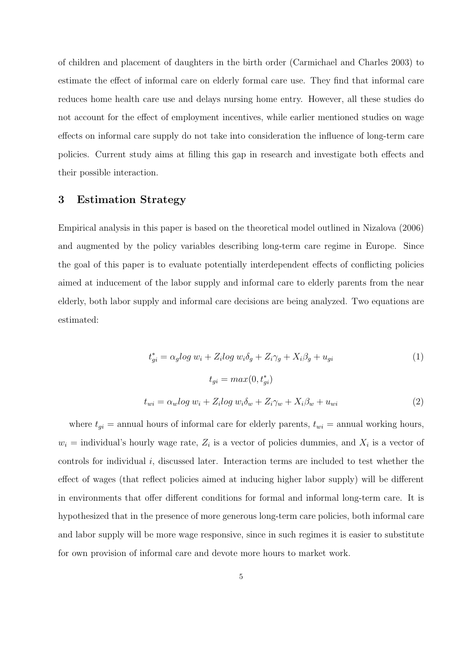of children and placement of daughters in the birth order (Carmichael and Charles 2003) to estimate the effect of informal care on elderly formal care use. They find that informal care reduces home health care use and delays nursing home entry. However, all these studies do not account for the effect of employment incentives, while earlier mentioned studies on wage effects on informal care supply do not take into consideration the influence of long-term care policies. Current study aims at filling this gap in research and investigate both effects and their possible interaction.

# 3 Estimation Strategy

Empirical analysis in this paper is based on the theoretical model outlined in Nizalova (2006) and augmented by the policy variables describing long-term care regime in Europe. Since the goal of this paper is to evaluate potentially interdependent effects of conflicting policies aimed at inducement of the labor supply and informal care to elderly parents from the near elderly, both labor supply and informal care decisions are being analyzed. Two equations are estimated:

$$
t_{gi}^* = \alpha_g \log w_i + Z_i \log w_i \delta_g + Z_i \gamma_g + X_i \beta_g + u_{gi}
$$
  
\n
$$
t_{gi} = \max(0, t_{gi}^*)
$$
  
\n
$$
t_{wi} = \alpha_w \log w_i + Z_i \log w_i \delta_w + Z_i \gamma_w + X_i \beta_w + u_{wi}
$$
\n(2)

where  $t_{gi}$  = annual hours of informal care for elderly parents,  $t_{wi}$  = annual working hours,  $w_i$  = individual's hourly wage rate,  $Z_i$  is a vector of policies dummies, and  $X_i$  is a vector of controls for individual i, discussed later. Interaction terms are included to test whether the effect of wages (that reflect policies aimed at inducing higher labor supply) will be different in environments that offer different conditions for formal and informal long-term care. It is hypothesized that in the presence of more generous long-term care policies, both informal care and labor supply will be more wage responsive, since in such regimes it is easier to substitute for own provision of informal care and devote more hours to market work.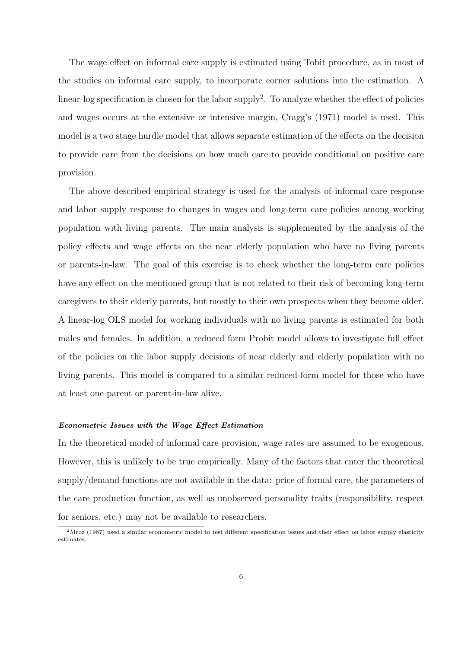The wage effect on informal care supply is estimated using Tobit procedure, as in most of the studies on informal care supply, to incorporate corner solutions into the estimation. A linear-log specification is chosen for the labor supply<sup>2</sup>. To analyze whether the effect of policies and wages occurs at the extensive or intensive margin, Cragg's (1971) model is used. This model is a two stage hurdle model that allows separate estimation of the effects on the decision to provide care from the decisions on how much care to provide conditional on positive care provision.

The above described empirical strategy is used for the analysis of informal care response and labor supply response to changes in wages and long-term care policies among working population with living parents. The main analysis is supplemented by the analysis of the policy effects and wage effects on the near elderly population who have no living parents or parents-in-law. The goal of this exercise is to check whether the long-term care policies have any effect on the mentioned group that is not related to their risk of becoming long-term caregivers to their elderly parents, but mostly to their own prospects when they become older. A linear-log OLS model for working individuals with no living parents is estimated for both males and females. In addition, a reduced form Probit model allows to investigate full effect of the policies on the labor supply decisions of near elderly and elderly population with no living parents. This model is compared to a similar reduced-form model for those who have at least one parent or parent-in-law alive.

## Econometric Issues with the Wage Effect Estimation

In the theoretical model of informal care provision, wage rates are assumed to be exogenous. However, this is unlikely to be true empirically. Many of the factors that enter the theoretical supply/demand functions are not available in the data: price of formal care, the parameters of the care production function, as well as unobserved personality traits (responsibility, respect for seniors, etc.) may not be available to researchers.

<sup>&</sup>lt;sup>2</sup>Mroz (1987) used a similar econometric model to test different specification issues and their effect on labor supply elasticity estimates.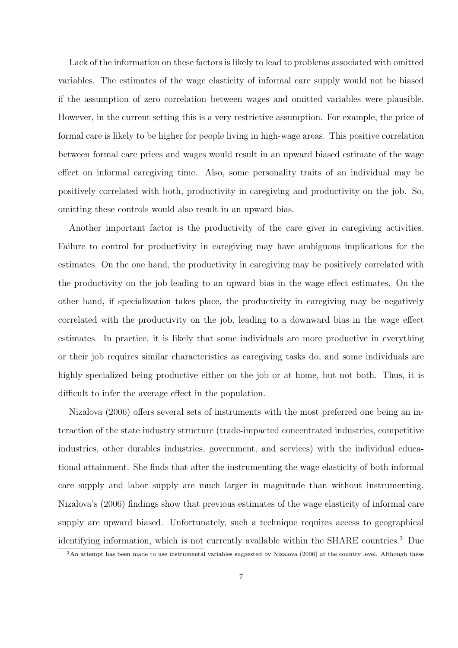Lack of the information on these factors is likely to lead to problems associated with omitted variables. The estimates of the wage elasticity of informal care supply would not be biased if the assumption of zero correlation between wages and omitted variables were plausible. However, in the current setting this is a very restrictive assumption. For example, the price of formal care is likely to be higher for people living in high-wage areas. This positive correlation between formal care prices and wages would result in an upward biased estimate of the wage effect on informal caregiving time. Also, some personality traits of an individual may be positively correlated with both, productivity in caregiving and productivity on the job. So, omitting these controls would also result in an upward bias.

Another important factor is the productivity of the care giver in caregiving activities. Failure to control for productivity in caregiving may have ambiguous implications for the estimates. On the one hand, the productivity in caregiving may be positively correlated with the productivity on the job leading to an upward bias in the wage effect estimates. On the other hand, if specialization takes place, the productivity in caregiving may be negatively correlated with the productivity on the job, leading to a downward bias in the wage effect estimates. In practice, it is likely that some individuals are more productive in everything or their job requires similar characteristics as caregiving tasks do, and some individuals are highly specialized being productive either on the job or at home, but not both. Thus, it is difficult to infer the average effect in the population.

Nizalova (2006) offers several sets of instruments with the most preferred one being an interaction of the state industry structure (trade-impacted concentrated industries, competitive industries, other durables industries, government, and services) with the individual educational attainment. She finds that after the instrumenting the wage elasticity of both informal care supply and labor supply are much larger in magnitude than without instrumenting. Nizalova's (2006) findings show that previous estimates of the wage elasticity of informal care supply are upward biased. Unfortunately, such a technique requires access to geographical identifying information, which is not currently available within the SHARE countries.<sup>3</sup> Due

<sup>3</sup>An attempt has been made to use instrumental variables suggested by Nizalova (2006) at the country level. Although these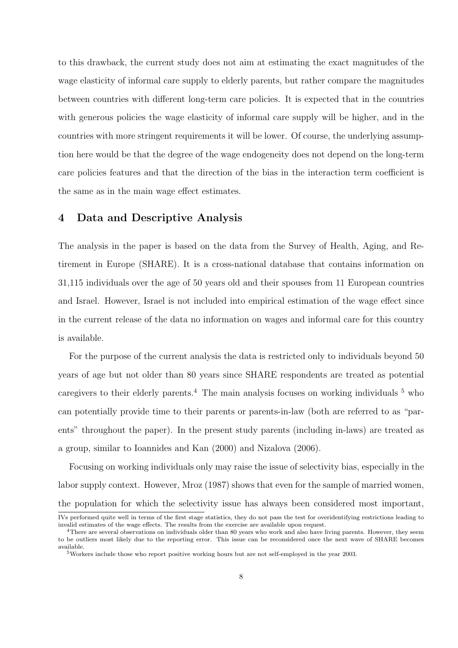to this drawback, the current study does not aim at estimating the exact magnitudes of the wage elasticity of informal care supply to elderly parents, but rather compare the magnitudes between countries with different long-term care policies. It is expected that in the countries with generous policies the wage elasticity of informal care supply will be higher, and in the countries with more stringent requirements it will be lower. Of course, the underlying assumption here would be that the degree of the wage endogeneity does not depend on the long-term care policies features and that the direction of the bias in the interaction term coefficient is the same as in the main wage effect estimates.

## 4 Data and Descriptive Analysis

The analysis in the paper is based on the data from the Survey of Health, Aging, and Retirement in Europe (SHARE). It is a cross-national database that contains information on 31,115 individuals over the age of 50 years old and their spouses from 11 European countries and Israel. However, Israel is not included into empirical estimation of the wage effect since in the current release of the data no information on wages and informal care for this country is available.

For the purpose of the current analysis the data is restricted only to individuals beyond 50 years of age but not older than 80 years since SHARE respondents are treated as potential caregivers to their elderly parents.<sup>4</sup> The main analysis focuses on working individuals  $<sup>5</sup>$  who</sup> can potentially provide time to their parents or parents-in-law (both are referred to as "parents" throughout the paper). In the present study parents (including in-laws) are treated as a group, similar to Ioannides and Kan (2000) and Nizalova (2006).

Focusing on working individuals only may raise the issue of selectivity bias, especially in the labor supply context. However, Mroz (1987) shows that even for the sample of married women, the population for which the selectivity issue has always been considered most important,

IVs performed quite well in terms of the first stage statistics, they do not pass the test for overidentifying restrictions leading to invalid estimates of the wage effects. The results from the exercise are available upon request.

<sup>&</sup>lt;sup>4</sup>There are several observations on individuals older than 80 years who work and also have living parents. However, they seem to be outliers most likely due to the reporting error. This issue can be reconsidered once the next wave of SHARE becomes available.

<sup>5</sup>Workers include those who report positive working hours but are not self-employed in the year 2003.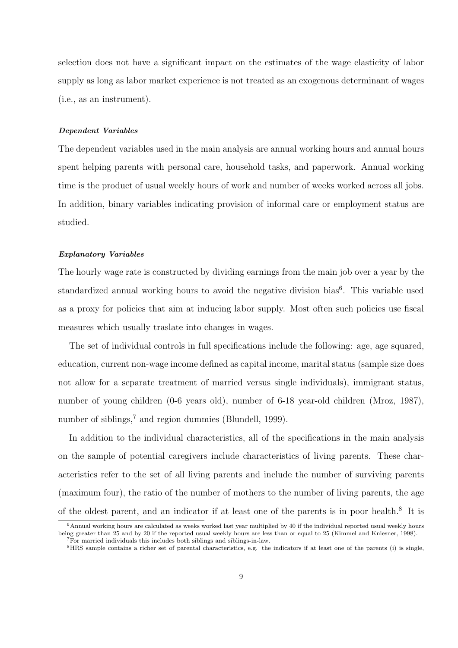selection does not have a significant impact on the estimates of the wage elasticity of labor supply as long as labor market experience is not treated as an exogenous determinant of wages (i.e., as an instrument).

#### Dependent Variables

The dependent variables used in the main analysis are annual working hours and annual hours spent helping parents with personal care, household tasks, and paperwork. Annual working time is the product of usual weekly hours of work and number of weeks worked across all jobs. In addition, binary variables indicating provision of informal care or employment status are studied.

#### Explanatory Variables

The hourly wage rate is constructed by dividing earnings from the main job over a year by the standardized annual working hours to avoid the negative division bias<sup>6</sup>. This variable used as a proxy for policies that aim at inducing labor supply. Most often such policies use fiscal measures which usually traslate into changes in wages.

The set of individual controls in full specifications include the following: age, age squared, education, current non-wage income defined as capital income, marital status (sample size does not allow for a separate treatment of married versus single individuals), immigrant status, number of young children (0-6 years old), number of 6-18 year-old children (Mroz, 1987), number of siblings, $^7$  and region dummies (Blundell, 1999).

In addition to the individual characteristics, all of the specifications in the main analysis on the sample of potential caregivers include characteristics of living parents. These characteristics refer to the set of all living parents and include the number of surviving parents (maximum four), the ratio of the number of mothers to the number of living parents, the age of the oldest parent, and an indicator if at least one of the parents is in poor health.<sup>8</sup> It is

 $6$ Annual working hours are calculated as weeks worked last year multiplied by 40 if the individual reported usual weekly hours being greater than 25 and by 20 if the reported usual weekly hours are less than or equal to 25 (Kimmel and Kniesner, 1998). <sup>7</sup>For married individuals this includes both siblings and siblings-in-law.

<sup>8</sup>HRS sample contains a richer set of parental characteristics, e.g. the indicators if at least one of the parents (i) is single,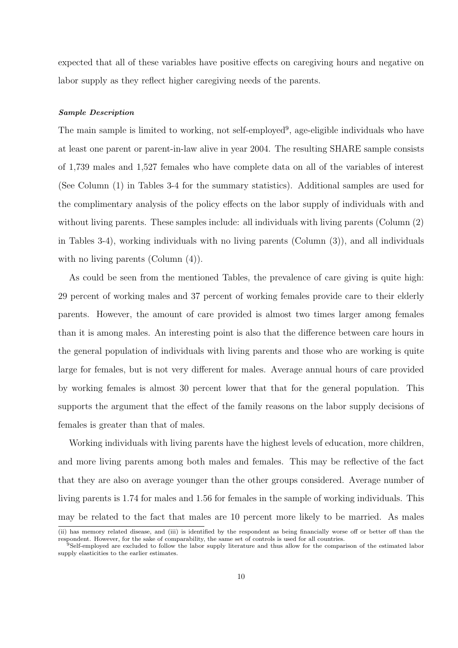expected that all of these variables have positive effects on caregiving hours and negative on labor supply as they reflect higher caregiving needs of the parents.

#### Sample Description

The main sample is limited to working, not self-employed<sup>9</sup>, age-eligible individuals who have at least one parent or parent-in-law alive in year 2004. The resulting SHARE sample consists of 1,739 males and 1,527 females who have complete data on all of the variables of interest (See Column (1) in Tables 3-4 for the summary statistics). Additional samples are used for the complimentary analysis of the policy effects on the labor supply of individuals with and without living parents. These samples include: all individuals with living parents (Column (2) in Tables 3-4), working individuals with no living parents (Column (3)), and all individuals with no living parents (Column  $(4)$ ).

As could be seen from the mentioned Tables, the prevalence of care giving is quite high: 29 percent of working males and 37 percent of working females provide care to their elderly parents. However, the amount of care provided is almost two times larger among females than it is among males. An interesting point is also that the difference between care hours in the general population of individuals with living parents and those who are working is quite large for females, but is not very different for males. Average annual hours of care provided by working females is almost 30 percent lower that that for the general population. This supports the argument that the effect of the family reasons on the labor supply decisions of females is greater than that of males.

Working individuals with living parents have the highest levels of education, more children, and more living parents among both males and females. This may be reflective of the fact that they are also on average younger than the other groups considered. Average number of living parents is 1.74 for males and 1.56 for females in the sample of working individuals. This may be related to the fact that males are 10 percent more likely to be married. As males

<sup>(</sup>ii) has memory related disease, and (iii) is identified by the respondent as being financially worse off or better off than the respondent. However, for the sake of comparability, the same set of controls is used for all countries.

<sup>9</sup>Self-employed are excluded to follow the labor supply literature and thus allow for the comparison of the estimated labor supply elasticities to the earlier estimates.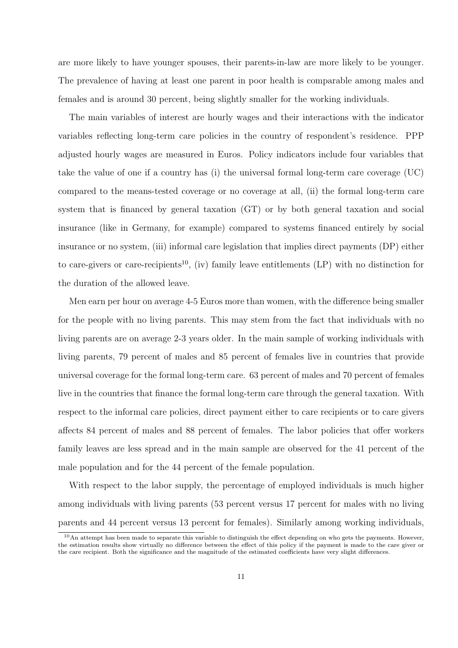are more likely to have younger spouses, their parents-in-law are more likely to be younger. The prevalence of having at least one parent in poor health is comparable among males and females and is around 30 percent, being slightly smaller for the working individuals.

The main variables of interest are hourly wages and their interactions with the indicator variables reflecting long-term care policies in the country of respondent's residence. PPP adjusted hourly wages are measured in Euros. Policy indicators include four variables that take the value of one if a country has (i) the universal formal long-term care coverage (UC) compared to the means-tested coverage or no coverage at all, (ii) the formal long-term care system that is financed by general taxation (GT) or by both general taxation and social insurance (like in Germany, for example) compared to systems financed entirely by social insurance or no system, (iii) informal care legislation that implies direct payments (DP) either to care-givers or care-recipients<sup>10</sup>, (iv) family leave entitlements  $(LP)$  with no distinction for the duration of the allowed leave.

Men earn per hour on average 4-5 Euros more than women, with the difference being smaller for the people with no living parents. This may stem from the fact that individuals with no living parents are on average 2-3 years older. In the main sample of working individuals with living parents, 79 percent of males and 85 percent of females live in countries that provide universal coverage for the formal long-term care. 63 percent of males and 70 percent of females live in the countries that finance the formal long-term care through the general taxation. With respect to the informal care policies, direct payment either to care recipients or to care givers affects 84 percent of males and 88 percent of females. The labor policies that offer workers family leaves are less spread and in the main sample are observed for the 41 percent of the male population and for the 44 percent of the female population.

With respect to the labor supply, the percentage of employed individuals is much higher among individuals with living parents (53 percent versus 17 percent for males with no living parents and 44 percent versus 13 percent for females). Similarly among working individuals,

 $10$ An attempt has been made to separate this variable to distinguish the effect depending on who gets the payments. However, the estimation results show virtually no difference between the effect of this policy if the payment is made to the care giver or the care recipient. Both the significance and the magnitude of the estimated coefficients have very slight differences.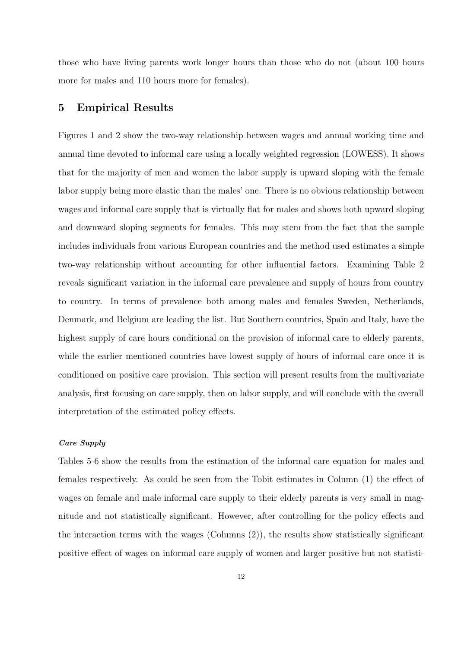those who have living parents work longer hours than those who do not (about 100 hours more for males and 110 hours more for females).

# 5 Empirical Results

Figures 1 and 2 show the two-way relationship between wages and annual working time and annual time devoted to informal care using a locally weighted regression (LOWESS). It shows that for the majority of men and women the labor supply is upward sloping with the female labor supply being more elastic than the males' one. There is no obvious relationship between wages and informal care supply that is virtually flat for males and shows both upward sloping and downward sloping segments for females. This may stem from the fact that the sample includes individuals from various European countries and the method used estimates a simple two-way relationship without accounting for other influential factors. Examining Table 2 reveals significant variation in the informal care prevalence and supply of hours from country to country. In terms of prevalence both among males and females Sweden, Netherlands, Denmark, and Belgium are leading the list. But Southern countries, Spain and Italy, have the highest supply of care hours conditional on the provision of informal care to elderly parents, while the earlier mentioned countries have lowest supply of hours of informal care once it is conditioned on positive care provision. This section will present results from the multivariate analysis, first focusing on care supply, then on labor supply, and will conclude with the overall interpretation of the estimated policy effects.

## Care Supply

Tables 5-6 show the results from the estimation of the informal care equation for males and females respectively. As could be seen from the Tobit estimates in Column (1) the effect of wages on female and male informal care supply to their elderly parents is very small in magnitude and not statistically significant. However, after controlling for the policy effects and the interaction terms with the wages (Columns  $(2)$ ), the results show statistically significant positive effect of wages on informal care supply of women and larger positive but not statisti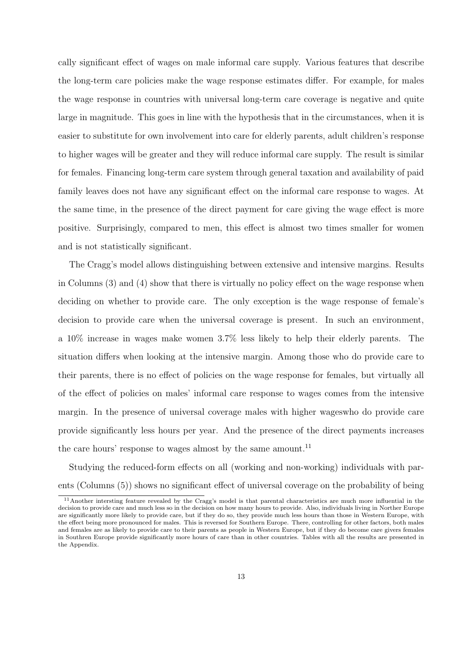cally significant effect of wages on male informal care supply. Various features that describe the long-term care policies make the wage response estimates differ. For example, for males the wage response in countries with universal long-term care coverage is negative and quite large in magnitude. This goes in line with the hypothesis that in the circumstances, when it is easier to substitute for own involvement into care for elderly parents, adult children's response to higher wages will be greater and they will reduce informal care supply. The result is similar for females. Financing long-term care system through general taxation and availability of paid family leaves does not have any significant effect on the informal care response to wages. At the same time, in the presence of the direct payment for care giving the wage effect is more positive. Surprisingly, compared to men, this effect is almost two times smaller for women and is not statistically significant.

The Cragg's model allows distinguishing between extensive and intensive margins. Results in Columns (3) and (4) show that there is virtually no policy effect on the wage response when deciding on whether to provide care. The only exception is the wage response of female's decision to provide care when the universal coverage is present. In such an environment, a 10% increase in wages make women 3.7% less likely to help their elderly parents. The situation differs when looking at the intensive margin. Among those who do provide care to their parents, there is no effect of policies on the wage response for females, but virtually all of the effect of policies on males' informal care response to wages comes from the intensive margin. In the presence of universal coverage males with higher wageswho do provide care provide significantly less hours per year. And the presence of the direct payments increases the care hours' response to wages almost by the same amount.<sup>11</sup>

Studying the reduced-form effects on all (working and non-working) individuals with parents (Columns (5)) shows no significant effect of universal coverage on the probability of being

 $11$ Another intersting feature revealed by the Cragg's model is that parental characteristics are much more influential in the decision to provide care and much less so in the decision on how many hours to provide. Also, individuals living in Norther Europe are significantly more likely to provide care, but if they do so, they provide much less hours than those in Western Europe, with the effect being more pronounced for males. This is reversed for Southern Europe. There, controlling for other factors, both males and females are as likely to provide care to their parents as people in Western Europe, but if they do become care givers females in Southren Europe provide significantly more hours of care than in other countries. Tables with all the results are presented in the Appendix.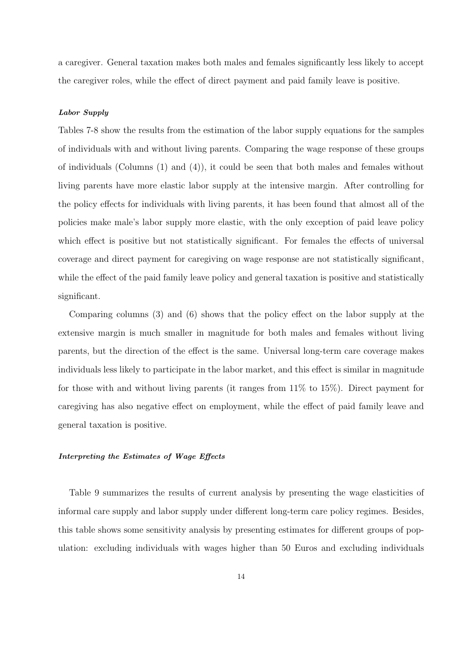a caregiver. General taxation makes both males and females significantly less likely to accept the caregiver roles, while the effect of direct payment and paid family leave is positive.

## Labor Supply

Tables 7-8 show the results from the estimation of the labor supply equations for the samples of individuals with and without living parents. Comparing the wage response of these groups of individuals (Columns (1) and (4)), it could be seen that both males and females without living parents have more elastic labor supply at the intensive margin. After controlling for the policy effects for individuals with living parents, it has been found that almost all of the policies make male's labor supply more elastic, with the only exception of paid leave policy which effect is positive but not statistically significant. For females the effects of universal coverage and direct payment for caregiving on wage response are not statistically significant, while the effect of the paid family leave policy and general taxation is positive and statistically significant.

Comparing columns (3) and (6) shows that the policy effect on the labor supply at the extensive margin is much smaller in magnitude for both males and females without living parents, but the direction of the effect is the same. Universal long-term care coverage makes individuals less likely to participate in the labor market, and this effect is similar in magnitude for those with and without living parents (it ranges from 11% to 15%). Direct payment for caregiving has also negative effect on employment, while the effect of paid family leave and general taxation is positive.

#### Interpreting the Estimates of Wage Effects

Table 9 summarizes the results of current analysis by presenting the wage elasticities of informal care supply and labor supply under different long-term care policy regimes. Besides, this table shows some sensitivity analysis by presenting estimates for different groups of population: excluding individuals with wages higher than 50 Euros and excluding individuals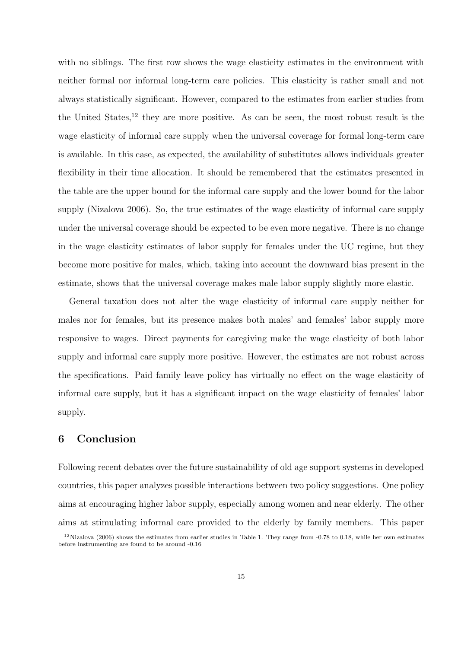with no siblings. The first row shows the wage elasticity estimates in the environment with neither formal nor informal long-term care policies. This elasticity is rather small and not always statistically significant. However, compared to the estimates from earlier studies from the United States,<sup>12</sup> they are more positive. As can be seen, the most robust result is the wage elasticity of informal care supply when the universal coverage for formal long-term care is available. In this case, as expected, the availability of substitutes allows individuals greater flexibility in their time allocation. It should be remembered that the estimates presented in the table are the upper bound for the informal care supply and the lower bound for the labor supply (Nizalova 2006). So, the true estimates of the wage elasticity of informal care supply under the universal coverage should be expected to be even more negative. There is no change in the wage elasticity estimates of labor supply for females under the UC regime, but they become more positive for males, which, taking into account the downward bias present in the estimate, shows that the universal coverage makes male labor supply slightly more elastic.

General taxation does not alter the wage elasticity of informal care supply neither for males nor for females, but its presence makes both males' and females' labor supply more responsive to wages. Direct payments for caregiving make the wage elasticity of both labor supply and informal care supply more positive. However, the estimates are not robust across the specifications. Paid family leave policy has virtually no effect on the wage elasticity of informal care supply, but it has a significant impact on the wage elasticity of females' labor supply.

# 6 Conclusion

Following recent debates over the future sustainability of old age support systems in developed countries, this paper analyzes possible interactions between two policy suggestions. One policy aims at encouraging higher labor supply, especially among women and near elderly. The other aims at stimulating informal care provided to the elderly by family members. This paper

 $12$ Nizalova (2006) shows the estimates from earlier studies in Table 1. They range from -0.78 to 0.18, while her own estimates before instrumenting are found to be around -0.16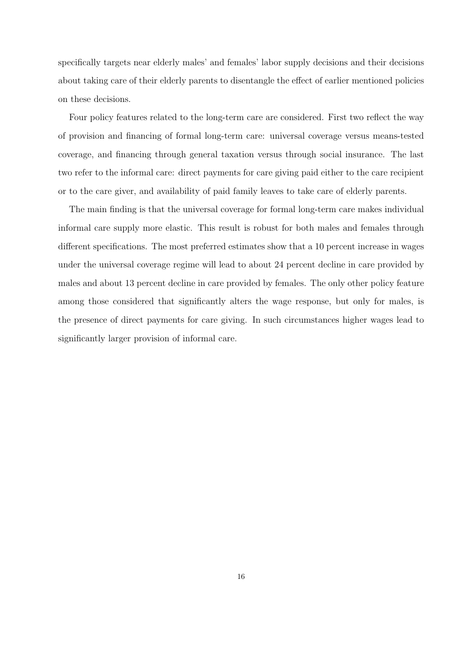specifically targets near elderly males' and females' labor supply decisions and their decisions about taking care of their elderly parents to disentangle the effect of earlier mentioned policies on these decisions.

Four policy features related to the long-term care are considered. First two reflect the way of provision and financing of formal long-term care: universal coverage versus means-tested coverage, and financing through general taxation versus through social insurance. The last two refer to the informal care: direct payments for care giving paid either to the care recipient or to the care giver, and availability of paid family leaves to take care of elderly parents.

The main finding is that the universal coverage for formal long-term care makes individual informal care supply more elastic. This result is robust for both males and females through different specifications. The most preferred estimates show that a 10 percent increase in wages under the universal coverage regime will lead to about 24 percent decline in care provided by males and about 13 percent decline in care provided by females. The only other policy feature among those considered that significantly alters the wage response, but only for males, is the presence of direct payments for care giving. In such circumstances higher wages lead to significantly larger provision of informal care.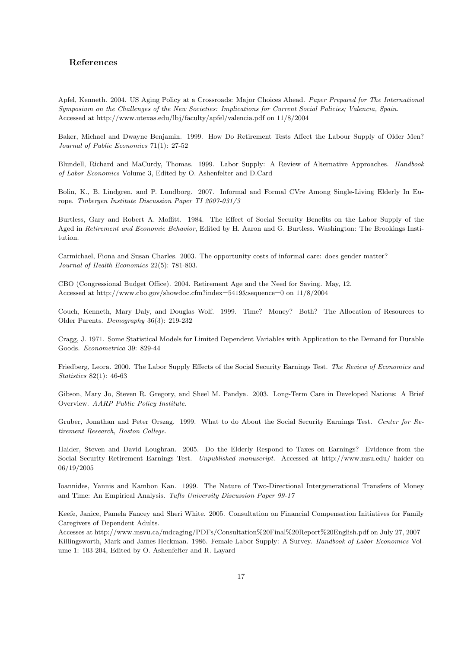## References

Apfel, Kenneth. 2004. US Aging Policy at a Crossroads: Major Choices Ahead. Paper Prepared for The International Symposium on the Challenges of the New Societies: Implications for Current Social Policies; Valencia, Spain. Accessed at http://www.utexas.edu/lbj/faculty/apfel/valencia.pdf on 11/8/2004

Baker, Michael and Dwayne Benjamin. 1999. How Do Retirement Tests Affect the Labour Supply of Older Men? Journal of Public Economics 71(1): 27-52

Blundell, Richard and MaCurdy, Thomas. 1999. Labor Supply: A Review of Alternative Approaches. Handbook of Labor Economics Volume 3, Edited by O. Ashenfelter and D.Card

Bolin, K., B. Lindgren, and P. Lundborg. 2007. Informal and Formal CVre Among Single-Living Elderly In Europe. Tinbergen Institute Discussion Paper TI 2007-031/3

Burtless, Gary and Robert A. Moffitt. 1984. The Effect of Social Security Benefits on the Labor Supply of the Aged in Retirement and Economic Behavior, Edited by H. Aaron and G. Burtless. Washington: The Brookings Institution.

Carmichael, Fiona and Susan Charles. 2003. The opportunity costs of informal care: does gender matter? Journal of Health Economics 22(5): 781-803.

CBO (Congressional Budget Office). 2004. Retirement Age and the Need for Saving. May, 12. Accessed at http://www.cbo.gov/showdoc.cfm?index=5419&sequence=0 on 11/8/2004

Couch, Kenneth, Mary Daly, and Douglas Wolf. 1999. Time? Money? Both? The Allocation of Resources to Older Parents. Demography 36(3): 219-232

Cragg, J. 1971. Some Statistical Models for Limited Dependent Variables with Application to the Demand for Durable Goods. Econometrica 39: 829-44

Friedberg, Leora. 2000. The Labor Supply Effects of the Social Security Earnings Test. The Review of Economics and Statistics 82(1): 46-63

Gibson, Mary Jo, Steven R. Gregory, and Sheel M. Pandya. 2003. Long-Term Care in Developed Nations: A Brief Overview. AARP Public Policy Institute.

Gruber, Jonathan and Peter Orszag. 1999. What to do About the Social Security Earnings Test. Center for Retirement Research, Boston College.

Haider, Steven and David Loughran. 2005. Do the Elderly Respond to Taxes on Earnings? Evidence from the Social Security Retirement Earnings Test. Unpublished manuscript. Accessed at http://www.msu.edu/ haider on 06/19/2005

Ioannides, Yannis and Kambon Kan. 1999. The Nature of Two-Directional Intergenerational Transfers of Money and Time: An Empirical Analysis. Tufts University Discussion Paper 99-17

Keefe, Janice, Pamela Fancey and Sheri White. 2005. Consultation on Financial Compensation Initiatives for Family Caregivers of Dependent Adults.

Accesses at http://www.msvu.ca/mdcaging/PDFs/Consultation%20Final%20Report%20English.pdf on July 27, 2007 Killingsworth, Mark and James Heckman. 1986. Female Labor Supply: A Survey. Handbook of Labor Economics Volume 1: 103-204, Edited by O. Ashenfelter and R. Layard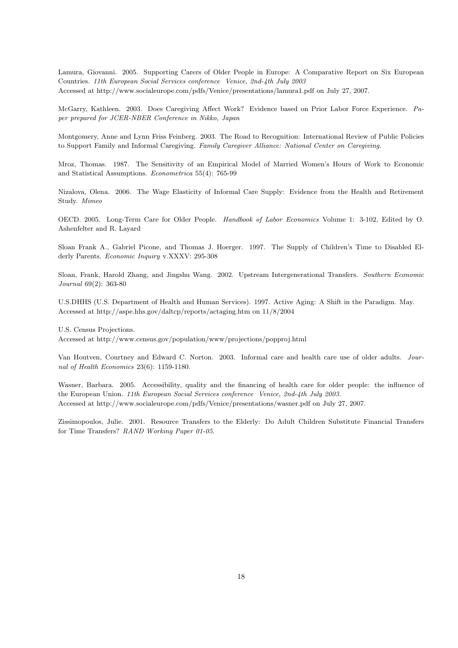Lamura, Giovanni. 2005. Supporting Carers of Older People in Europe: A Comparative Report on Six European Countries. 11th European Social Services conference Venice, 2nd-4th July 2003 Accessed at http://www.socialeurope.com/pdfs/Venice/presentations/lamura1.pdf on July 27, 2007.

McGarry, Kathleen. 2003. Does Caregiving Affect Work? Evidence based on Prior Labor Force Experience. Paper prepared for JCER-NBER Conference in Nikko, Japan

Montgomery, Anne and Lynn Friss Feinberg. 2003. The Road to Recognition: International Review of Public Policies to Support Family and Informal Caregiving. Family Caregiver Alliance: National Center on Caregiving.

Mroz, Thomas. 1987. The Sensitivity of an Empirical Model of Married Women's Hours of Work to Economic and Statistical Assumptions. Econometrica 55(4): 765-99

Nizalova, Olena. 2006. The Wage Elasticity of Informal Care Supply: Evidence from the Health and Retirement Study. Mimeo

OECD. 2005. Long-Term Care for Older People. Handbook of Labor Economics Volume 1: 3-102, Edited by O. Ashenfelter and R. Layard

Sloan Frank A., Gabriel Picone, and Thomas J. Hoerger. 1997. The Supply of Children's Time to Disabled Elderly Parents. Economic Inquiry v.XXXV: 295-308

Sloan, Frank, Harold Zhang, and Jingshu Wang. 2002. Upstream Intergenerational Transfers. Southern Economic Journal 69(2): 363-80

U.S.DHHS (U.S. Department of Health and Human Services). 1997. Active Aging: A Shift in the Paradigm. May. Accessed at http://aspe.hhs.gov/daltcp/reports/actaging.htm on 11/8/2004

U.S. Census Projections.

Accessed at http://www.census.gov/population/www/projections/popproj.html

Van Houtven, Courtney and Edward C. Norton. 2003. Informal care and health care use of older adults. Journal of Health Economics 23(6): 1159-1180.

Wasner, Barbara. 2005. Accessibility, quality and the financing of health care for older people: the influence of the European Union. 11th European Social Services conference Venice, 2nd-4th July 2003. Accessed at http://www.socialeurope.com/pdfs/Venice/presentations/wasner.pdf on July 27, 2007.

Zissimopoulos, Julie. 2001. Resource Transfers to the Elderly: Do Adult Children Substitute Financial Transfers for Time Transfers? RAND Working Paper 01-05.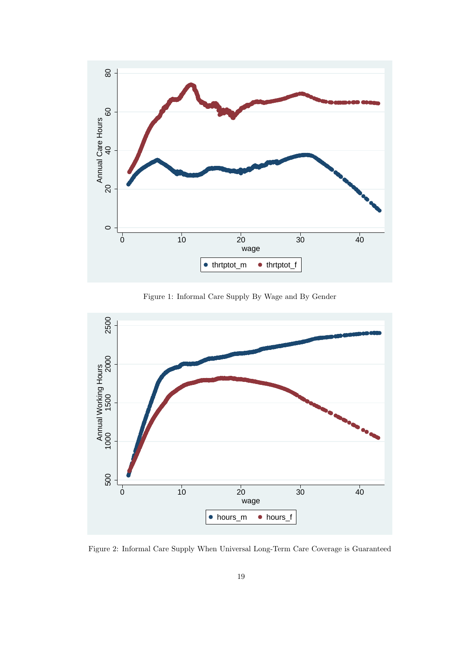

Figure 1: Informal Care Supply By Wage and By Gender



Figure 2: Informal Care Supply When Universal Long-Term Care Coverage is Guaranteed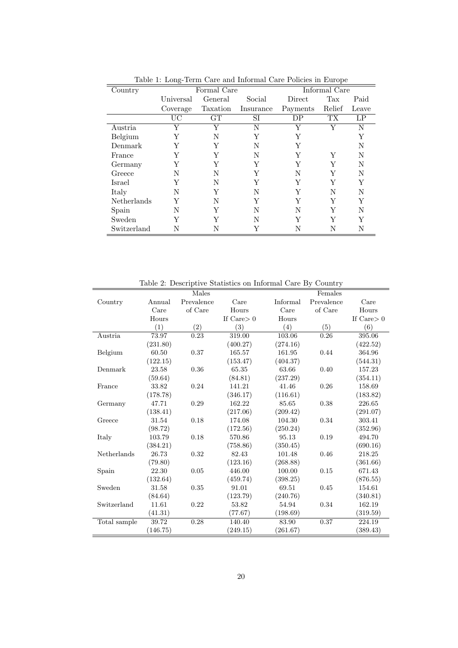| Country     |                 | Formal Care | Informal Care |          |           |       |
|-------------|-----------------|-------------|---------------|----------|-----------|-------|
|             | Universal       | General     | Social        | Direct   | Tax       | Paid  |
|             | Coverage        | Taxation    | Insurance     | Payments | Relief    | Leave |
|             | $\overline{UC}$ | GT          | SI            | DP       | <b>TX</b> | LP    |
| Austria     | Y               | Y           | N             | Υ        | Y         | N     |
| Belgium     | Y               | N           | Y             | Y        |           | Y     |
| Denmark     | Y               | Y           | N             | Y        |           | N     |
| France      | Y               | Y           | N             | Y        | Y         | N     |
| Germany     | Y               | Y           | Y             | Y        | Y         | N     |
| Greece      | N               | N           | Y             | N        | Y         | N     |
| Israel      | Y               | N           | Y             | Y        | Y         | Y     |
| Italy       | N               | Y           | N             | Y        | N         | N     |
| Netherlands | Y               | N           | Y             | Y        | Y         | Y     |
| Spain       | N               | Y           | N             | N        | Y         | N     |
| Sweden      | Y               | Y           | N             | Y        | Y         | Y     |
| Switzerland | N               | N           | Y             | N        | N         | N     |

Table 1: Long-Term Care and Informal Care Policies in Europe

Table 2: Descriptive Statistics on Informal Care By Country

|              |          | Males      |               |          | Females    |               |
|--------------|----------|------------|---------------|----------|------------|---------------|
| Country      | Annual   | Prevalence | Care          | Informal | Prevalence | Care          |
|              | Care     | of Care    | Hours         | Care     | of Care    | Hours         |
|              | Hours    |            | If $Care > 0$ | Hours    |            | If $Care > 0$ |
|              | (1)      | (2)        | (3)           | (4)      | (5)        | (6)           |
| Austria      | 73.97    | 0.23       | 319.00        | 103.06   | 0.26       | 395.06        |
|              | (231.80) |            | (400.27)      | (274.16) |            | (422.52)      |
| Belgium      | 60.50    | 0.37       | 165.57        | 161.95   | 0.44       | 364.96        |
|              | (122.15) |            | (153.47)      | (404.37) |            | (544.31)      |
| Denmark      | 23.58    | 0.36       | 65.35         | 63.66    | 0.40       | 157.23        |
|              | (59.64)  |            | (84.81)       | (237.29) |            | (354.11)      |
| France       | 33.82    | 0.24       | 141.21        | 41.46    | 0.26       | 158.69        |
|              | (178.78) |            | (346.17)      | (116.61) |            | (183.82)      |
| Germany      | 47.71    | 0.29       | 162.22        | 85.65    | 0.38       | 226.65        |
|              | (138.41) |            | (217.06)      | (209.42) |            | (291.07)      |
| Greece       | 31.54    | 0.18       | 174.08        | 104.30   | 0.34       | 303.41        |
|              | (98.72)  |            | (172.56)      | (250.24) |            | (352.96)      |
| Italy        | 103.79   | 0.18       | 570.86        | 95.13    | 0.19       | 494.70        |
|              | (384.21) |            | (758.86)      | (350.45) |            | (690.16)      |
| Netherlands  | 26.73    | 0.32       | 82.43         | 101.48   | 0.46       | 218.25        |
|              | (79.80)  |            | (123.16)      | (268.88) |            | (361.66)      |
| Spain        | 22.30    | 0.05       | 446.00        | 100.00   | 0.15       | 671.43        |
|              | (132.64) |            | (459.74)      | (398.25) |            | (876.55)      |
| Sweden       | 31.58    | 0.35       | 91.01         | 69.51    | 0.45       | 154.61        |
|              | (84.64)  |            | (123.79)      | (240.76) |            | (340.81)      |
| Switzerland  | 11.61    | 0.22       | 53.82         | 54.94    | 0.34       | 162.19        |
|              | (41.31)  |            | (77.67)       | (198.69) |            | (319.59)      |
| Total sample | 39.72    | 0.28       | 140.40        | 83.90    | 0.37       | 224.19        |
|              | (146.75) |            | (249.15)      | (261.67) |            | (389.43)      |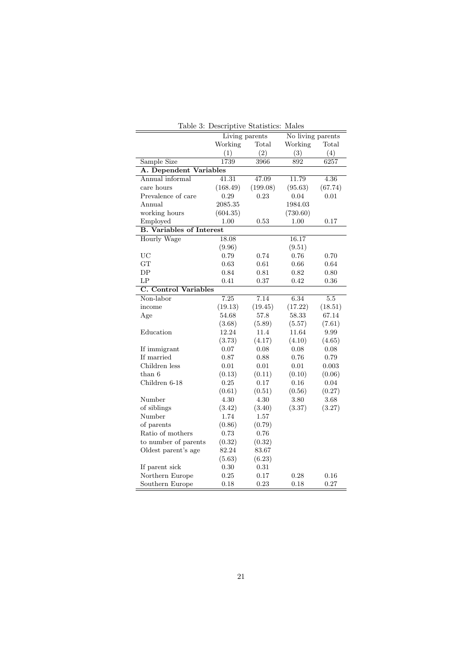| rable 5: Descriptive Statistics:<br>males |                |          |                   |         |  |  |  |
|-------------------------------------------|----------------|----------|-------------------|---------|--|--|--|
|                                           | Living parents |          | No living parents |         |  |  |  |
|                                           | Working        | Total    | Working           | Total   |  |  |  |
|                                           | (1)            | (2)      | (3)               | (4)     |  |  |  |
| Sample Size                               | 1739           | 3966     | 892               | 6257    |  |  |  |
| A. Dependent Variables                    |                |          |                   |         |  |  |  |
| Annual informal                           | 41.31          | 47.09    | 11.79             | 4.36    |  |  |  |
| care hours                                | (168.49)       | (199.08) | (95.63)           | (67.74) |  |  |  |
| Prevalence of care                        | 0.29           | 0.23     | 0.04              | 0.01    |  |  |  |
| Annual                                    | 2085.35        |          | 1984.03           |         |  |  |  |
| working hours                             | (604.35)       |          | (730.60)          |         |  |  |  |
| Employed                                  | 1.00           | 0.53     | 1.00              | 0.17    |  |  |  |
| <b>B.</b> Variables of Interest           |                |          |                   |         |  |  |  |
| Hourly Wage                               | 18.08          |          | 16.17             |         |  |  |  |
|                                           | (9.96)         |          | (9.51)            |         |  |  |  |
| <b>UC</b>                                 | 0.79           | 0.74     | 0.76              | 0.70    |  |  |  |
| <b>GT</b>                                 | 0.63           | 0.61     | 0.66              | 0.64    |  |  |  |
| DP                                        | 0.84           | 0.81     | 0.82              | 0.80    |  |  |  |
| LP                                        | 0.41           | 0.37     | 0.42              | 0.36    |  |  |  |
| <b>C.</b> Control Variables               |                |          |                   |         |  |  |  |
| Non-labor                                 | 7.25           | 7.14     | 6.34              | $5.5\,$ |  |  |  |
| income                                    | (19.13)        | (19.45)  | (17.22)           | (18.51) |  |  |  |
| Age                                       | 54.68          | 57.8     | 58.33             | 67.14   |  |  |  |
|                                           | (3.68)         | (5.89)   | (5.57)            | (7.61)  |  |  |  |
| Education                                 | 12.24          | 11.4     | 11.64             | 9.99    |  |  |  |
|                                           | (3.73)         | (4.17)   | (4.10)            | (4.65)  |  |  |  |
| If immigrant                              | 0.07           | 0.08     | 0.08              | 0.08    |  |  |  |
| If married                                | 0.87           | 0.88     | 0.76              | 0.79    |  |  |  |
| Children less                             | 0.01           | 0.01     | 0.01              | 0.003   |  |  |  |
| than 6                                    | (0.13)         | (0.11)   | (0.10)            | (0.06)  |  |  |  |
| Children 6-18                             | 0.25           | 0.17     | 0.16              | 0.04    |  |  |  |
|                                           | (0.61)         | (0.51)   | (0.56)            | (0.27)  |  |  |  |
| Number                                    | 4.30           | 4.30     | 3.80              | 3.68    |  |  |  |
| of siblings                               | (3.42)         | (3.40)   | (3.37)            | (3.27)  |  |  |  |
| Number                                    | 1.74           | 1.57     |                   |         |  |  |  |
| of parents                                | (0.86)         | (0.79)   |                   |         |  |  |  |
| Ratio of mothers                          | 0.73           | 0.76     |                   |         |  |  |  |
| to number of parents                      | (0.32)         | (0.32)   |                   |         |  |  |  |
| Oldest parent's age                       | 82.24          | 83.67    |                   |         |  |  |  |
|                                           | (5.63)         | (6.23)   |                   |         |  |  |  |
| If parent sick                            | 0.30           | 0.31     |                   |         |  |  |  |
| Northern Europe                           | 0.25           | 0.17     | 0.28              | 0.16    |  |  |  |
| Southern Europe                           | 0.18           | 0.23     | 0.18              | 0.27    |  |  |  |

Table 3: Descriptive Statistics: Males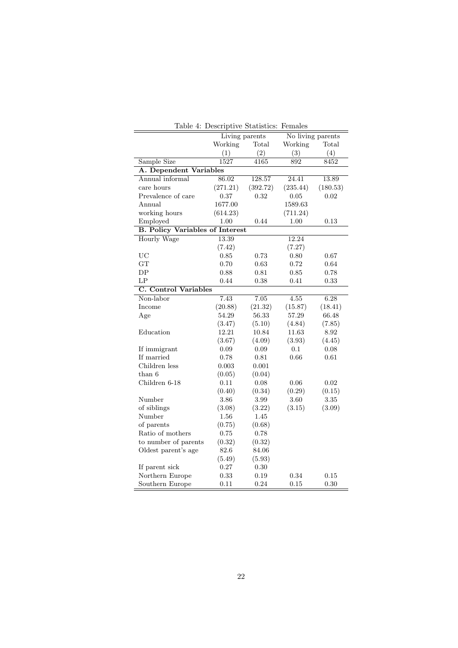| Table 4: Descriptive Statistics: Females |                |          |                   |          |
|------------------------------------------|----------------|----------|-------------------|----------|
|                                          | Living parents |          | No living parents |          |
|                                          | Working        | Total    | Working           | Total    |
|                                          | (1)            | (2)      | (3)               | (4)      |
| Sample Size                              | 1527           | 4165     | 892               | 8452     |
| A. Dependent Variables                   |                |          |                   |          |
| Annual informal                          | 86.02          | 128.57   | 24.41             | 13.89    |
| care hours                               | (271.21)       | (392.72) | (235.44)          | (180.53) |
| Prevalence of care                       | 0.37           | 0.32     | 0.05              | 0.02     |
| Annual                                   | 1677.00        |          | 1589.63           |          |
| working hours                            | (614.23)       |          | (711.24)          |          |
| Employed                                 | 1.00           | 0.44     | $1.00\,$          | 0.13     |
| <b>B. Policy Variables of Interest</b>   |                |          |                   |          |
| <b>Hourly Wage</b>                       | 13.39          |          | 12.24             |          |
|                                          | (7.42)         |          | (7.27)            |          |
| <b>UC</b>                                | 0.85           | 0.73     | 0.80              | 0.67     |
| GT                                       | 0.70           | 0.63     | 0.72              | 0.64     |
| DP                                       | 0.88           | 0.81     | 0.85              | 0.78     |
| LP                                       | 0.44           | 0.38     | 0.41              | 0.33     |
| <b>C.</b> Control Variables              |                |          |                   |          |
| Non-labor                                | 7.43           | 7.05     | 4.55              | 6.28     |
| Income                                   | (20.88)        | (21.32)  | (15.87)           | (18.41)  |
| Age                                      | 54.29          | 56.33    | 57.29             | 66.48    |
|                                          | (3.47)         | (5.10)   | (4.84)            | (7.85)   |
| Education                                | 12.21          | 10.84    | 11.63             | 8.92     |
|                                          | (3.67)         | (4.09)   | (3.93)            | (4.45)   |
| If immigrant                             | 0.09           | 0.09     | 0.1               | 0.08     |
| If married                               | 0.78           | 0.81     | 0.66              | 0.61     |
| Children less                            | 0.003          | 0.001    |                   |          |
| $than\ 6$                                | (0.05)         | (0.04)   |                   |          |
| Children 6-18                            | 0.11           | 0.08     | 0.06              | 0.02     |
|                                          | (0.40)         | (0.34)   | (0.29)            | (0.15)   |
| Number                                   | 3.86           | 3.99     | 3.60              | 3.35     |
| of siblings                              | (3.08)         | (3.22)   | (3.15)            | (3.09)   |
| Number                                   | 1.56           | 1.45     |                   |          |
| of parents                               | (0.75)         | (0.68)   |                   |          |
| Ratio of mothers                         | 0.75           | 0.78     |                   |          |
| to number of parents                     | (0.32)         | (0.32)   |                   |          |
| Oldest parent's age                      | 82.6           | 84.06    |                   |          |
|                                          | (5.49)         | (5.93)   |                   |          |
| If parent sick                           | 0.27           | 0.30     |                   |          |
| Northern Europe                          | 0.33           | 0.19     | 0.34              | 0.15     |
| Southern Europe                          | 0.11           | 0.24     | 0.15              | 0.30     |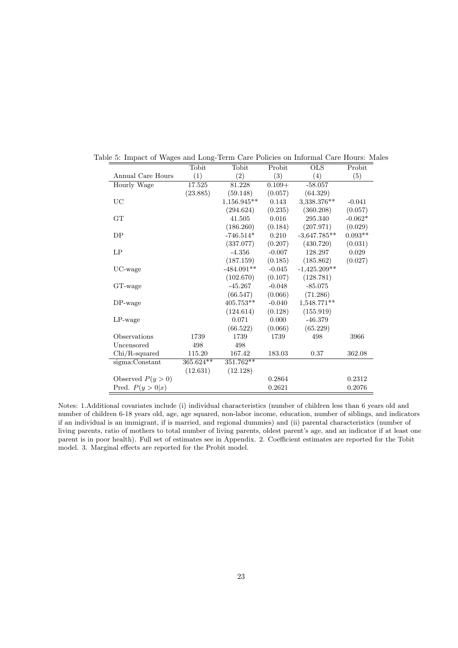|                    | Tobit     | Tobit        | Probit   | <b>OLS</b>     | Probit    |
|--------------------|-----------|--------------|----------|----------------|-----------|
| Annual Care Hours  | (1)       | (2)          | (3)      | (4)            | (5)       |
| Hourly Wage        | 17.525    | 81.228       | $0.109+$ | $-58.057$      |           |
|                    | (23.885)  | (59.148)     | (0.057)  | (64.329)       |           |
| UC                 |           | 1,156.945**  | 0.143    | 3,338.376**    | $-0.041$  |
|                    |           | (294.624)    | (0.235)  | (360.208)      | (0.057)   |
| GT                 |           | 41.505       | 0.016    | 295.340        | $-0.062*$ |
|                    |           | (186.260)    | (0.184)  | (207.971)      | (0.029)   |
| DP                 |           | $-746.514*$  | 0.210    | $-3,647.785**$ | $0.093**$ |
|                    |           | (337.077)    | (0.207)  | (430.720)      | (0.031)   |
| LP                 |           | $-4.356$     | $-0.007$ | 128.297        | 0.029     |
|                    |           | (187.159)    | (0.185)  | (185.862)      | (0.027)   |
| UC-wage            |           | $-484.091**$ | $-0.045$ | $-1,425.209**$ |           |
|                    |           | (102.670)    | (0.107)  | (128.781)      |           |
| GT-wage            |           | $-45.267$    | $-0.048$ | $-85.075$      |           |
|                    |           | (66.547)     | (0.066)  | (71.286)       |           |
| $DP$ -wage         |           | $405.753**$  | $-0.040$ | 1,548.771**    |           |
|                    |           | (124.614)    | (0.128)  | (155.919)      |           |
| $LP$ -wage         |           | 0.071        | 0.000    | $-46.379$      |           |
|                    |           | (66.522)     | (0.066)  | (65.229)       |           |
| Observations       | 1739      | 1739         | 1739     | 498            | 3966      |
| Uncensored         | 498       | 498          |          |                |           |
| $Chi/R$ -squared   | 115.20    | 167.42       | 183.03   | 0.37           | 362.08    |
| sigma:Constant     | 365.624** | $351.762**$  |          |                |           |
|                    | (12.631)  | (12.128)     |          |                |           |
| Observed $P(y>0)$  |           |              | 0.2864   |                | 0.2312    |
| Pred. $P(y > 0 x)$ |           |              | 0.2621   |                | 0.2076    |

Table 5: Impact of Wages and Long-Term Care Policies on Informal Care Hours: Males

Notes: 1.Additional covariates include (i) individual characteristics (number of children less than 6 years old and number of children 6-18 years old, age, age squared, non-labor income, education, number of siblings, and indicators if an individual is an immigrant, if is married, and regional dummies) and (ii) parental characteristics (number of living parents, ratio of mothers to total number of living parents, oldest parent's age, and an indicator if at least one parent is in poor health). Full set of estimates see in Appendix. 2. Coefficient estimates are reported for the Tobit model. 3. Marginal effects are reported for the Probit model.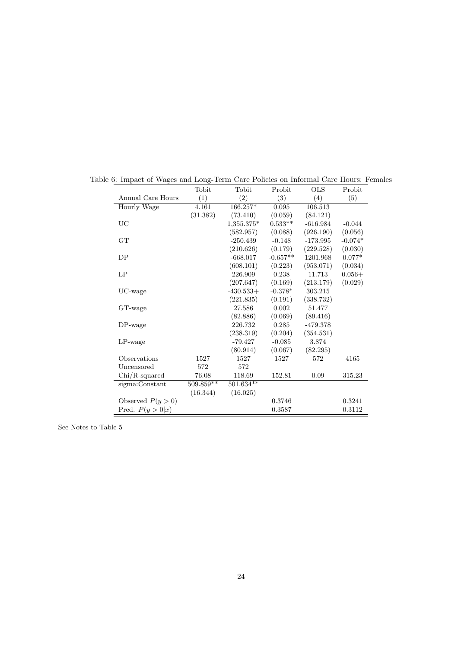|                    | Tobit       | Tobit       | Probit     | <b>OLS</b> | Probit    |
|--------------------|-------------|-------------|------------|------------|-----------|
| Annual Care Hours  | (1)         | (2)         | (3)        | (4)        | (5)       |
| Hourly Wage        | 4.161       | 166.257*    | 0.095      | 106.513    |           |
|                    | (31.382)    | (73.410)    | (0.059)    | (84.121)   |           |
| UC                 |             | 1,355.375*  | $0.533**$  | $-616.984$ | $-0.044$  |
|                    |             | (582.957)   | (0.088)    | (926.190)  | (0.056)   |
| GT                 |             | $-250.439$  | $-0.148$   | $-173.995$ | $-0.074*$ |
|                    |             | (210.626)   | (0.179)    | (229.528)  | (0.030)   |
| DP                 |             | $-668.017$  | $-0.657**$ | 1201.968   | $0.077*$  |
|                    |             | (608.101)   | (0.223)    | (953.071)  | (0.034)   |
| LP                 |             | 226.909     | 0.238      | 11.713     | $0.056+$  |
|                    |             | (207.647)   | (0.169)    | (213.179)  | (0.029)   |
| UC-wage            |             | $-430.533+$ | $-0.378*$  | 303.215    |           |
|                    |             | (221.835)   | (0.191)    | (338.732)  |           |
| GT-wage            |             | 27.586      | 0.002      | 51.477     |           |
|                    |             | (82.886)    | (0.069)    | (89.416)   |           |
| $DP$ -wage         |             | 226.732     | 0.285      | $-479.378$ |           |
|                    |             | (238.319)   | (0.204)    | (354.531)  |           |
| $LP$ -wage         |             | $-79.427$   | $-0.085$   | 3.874      |           |
|                    |             | (80.914)    | (0.067)    | (82.295)   |           |
| Observations       | 1527        | 1527        | 1527       | 572        | 4165      |
| Uncensored         | 572         | 572         |            |            |           |
| Chi/R-squared      | 76.08       | 118.69      | 152.81     | 0.09       | 315.23    |
| sigma:Constant     | $509.859**$ | $501.634**$ |            |            |           |
|                    | (16.344)    | (16.025)    |            |            |           |
| Observed $P(y>0)$  |             |             | 0.3746     |            | 0.3241    |
| Pred. $P(y > 0 x)$ |             |             | 0.3587     |            | 0.3112    |

Table 6: Impact of Wages and Long-Term Care Policies on Informal Care Hours: Females

See Notes to Table 5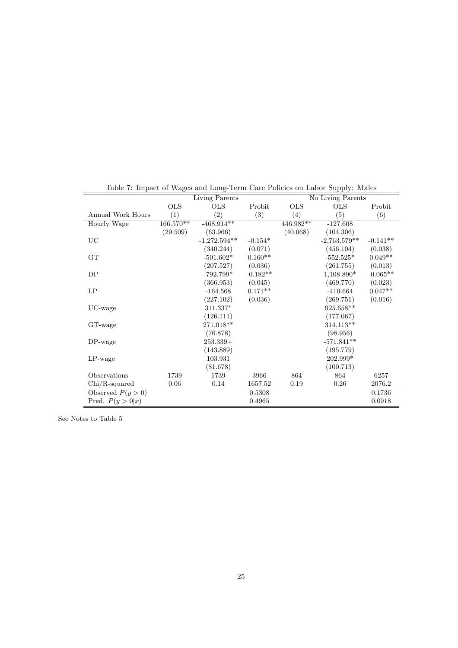|                    |                        | Living Parents    |            |             | No Living Parents |            |
|--------------------|------------------------|-------------------|------------|-------------|-------------------|------------|
|                    | <b>OLS</b>             | <b>OLS</b>        | Probit     | <b>OLS</b>  | <b>OLS</b>        | Probit     |
| Annual Work Hours  | (1)                    | $\left( 2\right)$ | (3)        | (4)         | (5)               | (6)        |
| Hourly Wage        | $166.\overline{570**}$ | $-468.914**$      |            | $446.982**$ | $-127.608$        |            |
|                    | (29.509)               | (63.966)          |            | (40.068)    | (104.306)         |            |
| $_{\rm UC}$        |                        | $-1,272.594**$    | $-0.154*$  |             | $-2,763.579**$    | $-0.141**$ |
|                    |                        | (340.244)         | (0.071)    |             | (456.104)         | (0.038)    |
| GT                 |                        | $-501.602*$       | $0.160**$  |             | $-552.525*$       | $0.049**$  |
|                    |                        | (207.527)         | (0.036)    |             | (261.755)         | (0.013)    |
| DP                 |                        | $-792.799*$       | $-0.182**$ |             | 1,108.890*        | $-0.065**$ |
|                    |                        | (366.953)         | (0.045)    |             | (469.770)         | (0.023)    |
| LP                 |                        | $-164.568$        | $0.171**$  |             | $-410.664$        | $0.047**$  |
|                    |                        | (227.102)         | (0.036)    |             | (269.751)         | (0.016)    |
| $UC$ -wage         |                        | 311.337*          |            |             | 925.658**         |            |
|                    |                        | (126.111)         |            |             | (177.067)         |            |
| GT-wage            |                        | 271.018**         |            |             | 314.113**         |            |
|                    |                        | (76.878)          |            |             | (98.956)          |            |
| $DP$ -wage         |                        | $253.339+$        |            |             | $-571.841**$      |            |
|                    |                        | (143.889)         |            |             | (195.779)         |            |
| $LP$ -wage         |                        | 103.931           |            |             | 202.999*          |            |
|                    |                        | (81.678)          |            |             | (100.713)         |            |
| Observations       | 1739                   | 1739              | 3966       | 864         | 864               | 6257       |
| $Chi/R$ -squared   | 0.06                   | 0.14              | 1657.52    | 0.19        | 0.26              | 2076.2     |
| Observed $P(y>0)$  |                        |                   | 0.5308     |             |                   | 0.1736     |
| Pred. $P(y > 0 x)$ |                        |                   | 0.4965     |             |                   | 0.0918     |

Table 7: Impact of Wages and Long-Term Care Policies on Labor Supply: Males

See Notes to Table 5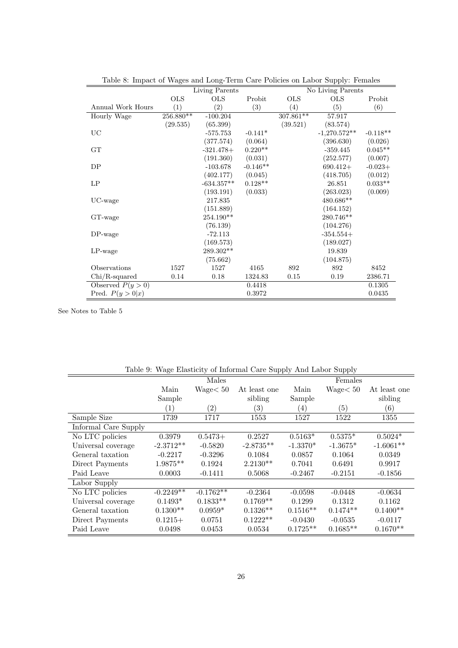| Lable 0. Impact of Wages and Doug Term Care I oncles on Labor Supply. I chiates |                |              |            |             | No Living Parents |            |
|---------------------------------------------------------------------------------|----------------|--------------|------------|-------------|-------------------|------------|
|                                                                                 | Living Parents |              |            |             |                   |            |
|                                                                                 | <b>OLS</b>     | <b>OLS</b>   | Probit     | <b>OLS</b>  | <b>OLS</b>        | Probit     |
| Annual Work Hours                                                               | (1)            | (2)          | (3)        | (4)         | (5)               | (6)        |
| Hourly Wage                                                                     | 256.880**      | $-100.204$   |            | $307.861**$ | 57.917            |            |
|                                                                                 | (29.535)       | (65.399)     |            | (39.521)    | (83.574)          |            |
| UC                                                                              |                | $-575.753$   | $-0.141*$  |             | $-1,270.572**$    | $-0.118**$ |
|                                                                                 |                | (377.574)    | (0.064)    |             | (396.630)         | (0.026)    |
| GT                                                                              |                | $-321.478+$  | $0.220**$  |             | $-359.445$        | $0.045**$  |
|                                                                                 |                | (191.360)    | (0.031)    |             | (252.577)         | (0.007)    |
| DP                                                                              |                | $-103.678$   | $-0.146**$ |             | $690.412+$        | $-0.023+$  |
|                                                                                 |                | (402.177)    | (0.045)    |             | (418.705)         | (0.012)    |
| LP                                                                              |                | $-634.357**$ | $0.128**$  |             | 26.851            | $0.033**$  |
|                                                                                 |                | (193.191)    | (0.033)    |             | (263.023)         | (0.009)    |
| UC-wage                                                                         |                | 217.835      |            |             | 480.686**         |            |
|                                                                                 |                | (151.889)    |            |             | (164.152)         |            |
| GT-wage                                                                         |                | 254.190**    |            |             | 280.746**         |            |
|                                                                                 |                | (76.139)     |            |             | (104.276)         |            |
| $DP$ -wage                                                                      |                | $-72.113$    |            |             | $-354.554+$       |            |
|                                                                                 |                | (169.573)    |            |             | (189.027)         |            |
| $LP$ -wage                                                                      |                | 289.302**    |            |             | 19.839            |            |
|                                                                                 |                | (75.662)     |            |             | (104.875)         |            |
| Observations                                                                    | 1527           | 1527         | 4165       | 892         | 892               | 8452       |
| $Chi/R$ -squared                                                                | 0.14           | 0.18         | 1324.83    | 0.15        | 0.19              | 2386.71    |
| Observed $P(y>0)$                                                               |                |              | 0.4418     |             |                   | 0.1305     |
| Pred. $P(y>0 x)$                                                                |                |              | 0.3972     |             |                   | 0.0435     |

Table 8: Impact of Wages and Long-Term Care Policies on Labor Supply: Females

See Notes to Table 5

| Table 9. Wage Elasticity of HiloHillar Care Supply Ally Labor Supply |                           |                   |                   |            |                  |              |
|----------------------------------------------------------------------|---------------------------|-------------------|-------------------|------------|------------------|--------------|
|                                                                      |                           | Males             |                   |            | Females          |              |
|                                                                      | Main                      | Wage < 50         | At least one      | Main       | Wage < 50        | At least one |
|                                                                      | Sample                    |                   | sibling           | Sample     |                  | sibling      |
|                                                                      | (1)                       | $\left( 2\right)$ | $\left( 3\right)$ | (4)        | $\left(5\right)$ | (6)          |
| Sample Size                                                          | 1739                      | 1717              | 1553              | 1527       | 1522             | 1355         |
| Informal Care Supply                                                 |                           |                   |                   |            |                  |              |
| No LTC policies                                                      | 0.3979                    | $0.5473+$         | 0.2527            | $0.5163*$  | $0.5375*$        | $0.5024*$    |
| Universal coverage                                                   | $-2.3712**$               | $-0.5820$         | $-2.8735**$       | $-1.3370*$ | $-1.3675*$       | $-1.6061**$  |
| General taxation                                                     | $-0.2217$                 | $-0.3296$         | 0.1084            | 0.0857     | 0.1064           | 0.0349       |
| Direct Payments                                                      | $1.9875**$                | 0.1924            | $2.2130**$        | 0.7041     | 0.6491           | 0.9917       |
| Paid Leave                                                           | 0.0003                    | $-0.1411$         | 0.5068            | $-0.2467$  | $-0.2151$        | $-0.1856$    |
| Labor Supply                                                         |                           |                   |                   |            |                  |              |
| No LTC policies                                                      | $-0.22\overline{49^{**}}$ | $-0.1762**$       | $-0.2364$         | $-0.0598$  | $-0.0448$        | $-0.0634$    |
| Universal coverage                                                   | $0.1493*$                 | $0.1833**$        | $0.1769**$        | 0.1299     | 0.1312           | 0.1162       |
| General taxation                                                     | $0.1300**$                | $0.0959*$         | $0.1326**$        | $0.1516**$ | $0.1474**$       | $0.1400**$   |
| Direct Payments                                                      | $0.1215+$                 | 0.0751            | $0.1222**$        | $-0.0430$  | $-0.0535$        | $-0.0117$    |
| Paid Leave                                                           | 0.0498                    | 0.0453            | 0.0534            | $0.1725**$ | $0.1685**$       | $0.1670**$   |

Table 9: Wage Elasticity of Informal Care Supply And Labor Supply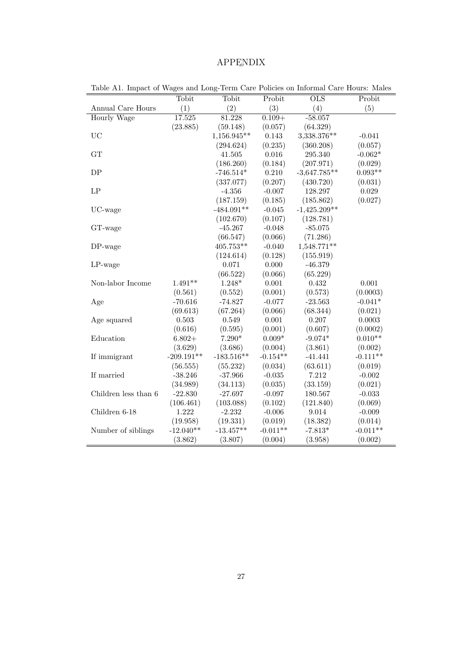#### APPENDIX ¯

| (2)<br>(3)<br>(5)<br>(1)<br>(4)<br>Annual Care Hours<br>Hourly Wage<br>17.525<br>81.228<br>$0.109 +$<br>$-58.057$<br>(23.885)<br>(64.329)<br>(59.148)<br>(0.057)<br><b>UC</b><br>1,156.945**<br>0.143<br>3,338.376**<br>$-0.041$<br>(0.235)<br>(360.208)<br>(294.624)<br>0.016<br>GT<br>41.505<br>295.340<br>(186.260)<br>(0.184)<br>(207.971)<br>0.210<br>${\rm DP}$<br>$-746.514*$<br>$-3,647.785**$<br>(0.207)<br>(337.077)<br>(430.720)<br>$\mathrm{LP}$<br>$-4.356$<br>$-0.007$<br>128.297<br>0.029<br>(187.159)<br>(0.185)<br>(185.862)<br>$-484.091**$<br>$-1,425.209**$<br>UC-wage<br>$-0.045$<br>(102.670)<br>(0.107)<br>(128.781)<br>$-85.075$<br>$-45.267$<br>$-0.048$<br>GT-wage<br>(66.547)<br>(71.286)<br>(0.066)<br>$405.753^{**}\,$<br>1,548.771**<br>DP-wage<br>$-0.040$<br>(124.614)<br>(0.128)<br>(155.919)<br>$-46.379$<br>$LP$ -wage<br>0.071<br>0.000<br>(66.522)<br>(0.066)<br>(65.229)<br>$1.491**$<br>Non-labor Income<br>$1.248*$<br>$0.001\,$<br>0.432<br>$0.001\,$<br>(0.561)<br>(0.001)<br>(0.573)<br>(0.552)<br>$-70.616$<br>$-74.827$<br>$-0.077$<br>$-23.563$<br>Age<br>(69.613)<br>(67.264)<br>(0.066)<br>(68.344)<br>0.549<br>0.001<br>0.207<br>Age squared<br>$0.503\,$<br>(0.616)<br>(0.595)<br>(0.001)<br>(0.607)<br>$0.009*$<br>Education<br>$7.290*$<br>$-9.074*$<br>$6.802+$<br>(3.861)<br>(3.629)<br>(3.686)<br>(0.004)<br>$-183.516**$<br>$-0.154**$<br>$-209.191**$<br>$-41.441$<br>If immigrant<br>(56.555)<br>(55.232)<br>(0.034)<br>(63.611)<br>If married<br>7.212<br>$-38.246$<br>$-37.966$<br>$-0.035$<br>(0.035)<br>(33.159)<br>(34.989)<br>(34.113) |                      | Tobit     | Tobit     | Probit   | <b>OLS</b> | Probit     |
|--------------------------------------------------------------------------------------------------------------------------------------------------------------------------------------------------------------------------------------------------------------------------------------------------------------------------------------------------------------------------------------------------------------------------------------------------------------------------------------------------------------------------------------------------------------------------------------------------------------------------------------------------------------------------------------------------------------------------------------------------------------------------------------------------------------------------------------------------------------------------------------------------------------------------------------------------------------------------------------------------------------------------------------------------------------------------------------------------------------------------------------------------------------------------------------------------------------------------------------------------------------------------------------------------------------------------------------------------------------------------------------------------------------------------------------------------------------------------------------------------------------------------------------------------------------------------------------------------------|----------------------|-----------|-----------|----------|------------|------------|
|                                                                                                                                                                                                                                                                                                                                                                                                                                                                                                                                                                                                                                                                                                                                                                                                                                                                                                                                                                                                                                                                                                                                                                                                                                                                                                                                                                                                                                                                                                                                                                                                        |                      |           |           |          |            |            |
|                                                                                                                                                                                                                                                                                                                                                                                                                                                                                                                                                                                                                                                                                                                                                                                                                                                                                                                                                                                                                                                                                                                                                                                                                                                                                                                                                                                                                                                                                                                                                                                                        |                      |           |           |          |            |            |
|                                                                                                                                                                                                                                                                                                                                                                                                                                                                                                                                                                                                                                                                                                                                                                                                                                                                                                                                                                                                                                                                                                                                                                                                                                                                                                                                                                                                                                                                                                                                                                                                        |                      |           |           |          |            |            |
|                                                                                                                                                                                                                                                                                                                                                                                                                                                                                                                                                                                                                                                                                                                                                                                                                                                                                                                                                                                                                                                                                                                                                                                                                                                                                                                                                                                                                                                                                                                                                                                                        |                      |           |           |          |            |            |
|                                                                                                                                                                                                                                                                                                                                                                                                                                                                                                                                                                                                                                                                                                                                                                                                                                                                                                                                                                                                                                                                                                                                                                                                                                                                                                                                                                                                                                                                                                                                                                                                        |                      |           |           |          |            | (0.057)    |
|                                                                                                                                                                                                                                                                                                                                                                                                                                                                                                                                                                                                                                                                                                                                                                                                                                                                                                                                                                                                                                                                                                                                                                                                                                                                                                                                                                                                                                                                                                                                                                                                        |                      |           |           |          |            | $-0.062*$  |
|                                                                                                                                                                                                                                                                                                                                                                                                                                                                                                                                                                                                                                                                                                                                                                                                                                                                                                                                                                                                                                                                                                                                                                                                                                                                                                                                                                                                                                                                                                                                                                                                        |                      |           |           |          |            | (0.029)    |
|                                                                                                                                                                                                                                                                                                                                                                                                                                                                                                                                                                                                                                                                                                                                                                                                                                                                                                                                                                                                                                                                                                                                                                                                                                                                                                                                                                                                                                                                                                                                                                                                        |                      |           |           |          |            | $0.093**$  |
|                                                                                                                                                                                                                                                                                                                                                                                                                                                                                                                                                                                                                                                                                                                                                                                                                                                                                                                                                                                                                                                                                                                                                                                                                                                                                                                                                                                                                                                                                                                                                                                                        |                      |           |           |          |            | (0.031)    |
|                                                                                                                                                                                                                                                                                                                                                                                                                                                                                                                                                                                                                                                                                                                                                                                                                                                                                                                                                                                                                                                                                                                                                                                                                                                                                                                                                                                                                                                                                                                                                                                                        |                      |           |           |          |            |            |
|                                                                                                                                                                                                                                                                                                                                                                                                                                                                                                                                                                                                                                                                                                                                                                                                                                                                                                                                                                                                                                                                                                                                                                                                                                                                                                                                                                                                                                                                                                                                                                                                        |                      |           |           |          |            | (0.027)    |
|                                                                                                                                                                                                                                                                                                                                                                                                                                                                                                                                                                                                                                                                                                                                                                                                                                                                                                                                                                                                                                                                                                                                                                                                                                                                                                                                                                                                                                                                                                                                                                                                        |                      |           |           |          |            |            |
|                                                                                                                                                                                                                                                                                                                                                                                                                                                                                                                                                                                                                                                                                                                                                                                                                                                                                                                                                                                                                                                                                                                                                                                                                                                                                                                                                                                                                                                                                                                                                                                                        |                      |           |           |          |            |            |
|                                                                                                                                                                                                                                                                                                                                                                                                                                                                                                                                                                                                                                                                                                                                                                                                                                                                                                                                                                                                                                                                                                                                                                                                                                                                                                                                                                                                                                                                                                                                                                                                        |                      |           |           |          |            |            |
|                                                                                                                                                                                                                                                                                                                                                                                                                                                                                                                                                                                                                                                                                                                                                                                                                                                                                                                                                                                                                                                                                                                                                                                                                                                                                                                                                                                                                                                                                                                                                                                                        |                      |           |           |          |            |            |
|                                                                                                                                                                                                                                                                                                                                                                                                                                                                                                                                                                                                                                                                                                                                                                                                                                                                                                                                                                                                                                                                                                                                                                                                                                                                                                                                                                                                                                                                                                                                                                                                        |                      |           |           |          |            |            |
|                                                                                                                                                                                                                                                                                                                                                                                                                                                                                                                                                                                                                                                                                                                                                                                                                                                                                                                                                                                                                                                                                                                                                                                                                                                                                                                                                                                                                                                                                                                                                                                                        |                      |           |           |          |            |            |
|                                                                                                                                                                                                                                                                                                                                                                                                                                                                                                                                                                                                                                                                                                                                                                                                                                                                                                                                                                                                                                                                                                                                                                                                                                                                                                                                                                                                                                                                                                                                                                                                        |                      |           |           |          |            |            |
|                                                                                                                                                                                                                                                                                                                                                                                                                                                                                                                                                                                                                                                                                                                                                                                                                                                                                                                                                                                                                                                                                                                                                                                                                                                                                                                                                                                                                                                                                                                                                                                                        |                      |           |           |          |            |            |
|                                                                                                                                                                                                                                                                                                                                                                                                                                                                                                                                                                                                                                                                                                                                                                                                                                                                                                                                                                                                                                                                                                                                                                                                                                                                                                                                                                                                                                                                                                                                                                                                        |                      |           |           |          |            |            |
|                                                                                                                                                                                                                                                                                                                                                                                                                                                                                                                                                                                                                                                                                                                                                                                                                                                                                                                                                                                                                                                                                                                                                                                                                                                                                                                                                                                                                                                                                                                                                                                                        |                      |           |           |          |            | (0.0003)   |
|                                                                                                                                                                                                                                                                                                                                                                                                                                                                                                                                                                                                                                                                                                                                                                                                                                                                                                                                                                                                                                                                                                                                                                                                                                                                                                                                                                                                                                                                                                                                                                                                        |                      |           |           |          |            | $-0.041*$  |
|                                                                                                                                                                                                                                                                                                                                                                                                                                                                                                                                                                                                                                                                                                                                                                                                                                                                                                                                                                                                                                                                                                                                                                                                                                                                                                                                                                                                                                                                                                                                                                                                        |                      |           |           |          |            | (0.021)    |
|                                                                                                                                                                                                                                                                                                                                                                                                                                                                                                                                                                                                                                                                                                                                                                                                                                                                                                                                                                                                                                                                                                                                                                                                                                                                                                                                                                                                                                                                                                                                                                                                        |                      |           |           |          |            | 0.0003     |
|                                                                                                                                                                                                                                                                                                                                                                                                                                                                                                                                                                                                                                                                                                                                                                                                                                                                                                                                                                                                                                                                                                                                                                                                                                                                                                                                                                                                                                                                                                                                                                                                        |                      |           |           |          |            | (0.0002)   |
|                                                                                                                                                                                                                                                                                                                                                                                                                                                                                                                                                                                                                                                                                                                                                                                                                                                                                                                                                                                                                                                                                                                                                                                                                                                                                                                                                                                                                                                                                                                                                                                                        |                      |           |           |          |            | $0.010**$  |
|                                                                                                                                                                                                                                                                                                                                                                                                                                                                                                                                                                                                                                                                                                                                                                                                                                                                                                                                                                                                                                                                                                                                                                                                                                                                                                                                                                                                                                                                                                                                                                                                        |                      |           |           |          |            | (0.002)    |
|                                                                                                                                                                                                                                                                                                                                                                                                                                                                                                                                                                                                                                                                                                                                                                                                                                                                                                                                                                                                                                                                                                                                                                                                                                                                                                                                                                                                                                                                                                                                                                                                        |                      |           |           |          |            | $-0.111**$ |
|                                                                                                                                                                                                                                                                                                                                                                                                                                                                                                                                                                                                                                                                                                                                                                                                                                                                                                                                                                                                                                                                                                                                                                                                                                                                                                                                                                                                                                                                                                                                                                                                        |                      |           |           |          |            | (0.019)    |
|                                                                                                                                                                                                                                                                                                                                                                                                                                                                                                                                                                                                                                                                                                                                                                                                                                                                                                                                                                                                                                                                                                                                                                                                                                                                                                                                                                                                                                                                                                                                                                                                        |                      |           |           |          |            | $-0.002$   |
|                                                                                                                                                                                                                                                                                                                                                                                                                                                                                                                                                                                                                                                                                                                                                                                                                                                                                                                                                                                                                                                                                                                                                                                                                                                                                                                                                                                                                                                                                                                                                                                                        |                      |           |           |          |            | (0.021)    |
|                                                                                                                                                                                                                                                                                                                                                                                                                                                                                                                                                                                                                                                                                                                                                                                                                                                                                                                                                                                                                                                                                                                                                                                                                                                                                                                                                                                                                                                                                                                                                                                                        | Children less than 6 | $-22.830$ | $-27.697$ | $-0.097$ | 180.567    | $-0.033$   |
| (106.461)<br>(103.088)<br>(0.102)<br>(121.840)                                                                                                                                                                                                                                                                                                                                                                                                                                                                                                                                                                                                                                                                                                                                                                                                                                                                                                                                                                                                                                                                                                                                                                                                                                                                                                                                                                                                                                                                                                                                                         |                      |           |           |          |            | (0.069)    |
| 1.222<br>$-2.232$<br>Children 6-18<br>$-0.006$<br>9.014                                                                                                                                                                                                                                                                                                                                                                                                                                                                                                                                                                                                                                                                                                                                                                                                                                                                                                                                                                                                                                                                                                                                                                                                                                                                                                                                                                                                                                                                                                                                                |                      |           |           |          |            | $-0.009$   |
| (19.958)<br>(19.331)<br>(0.019)<br>(18.382)                                                                                                                                                                                                                                                                                                                                                                                                                                                                                                                                                                                                                                                                                                                                                                                                                                                                                                                                                                                                                                                                                                                                                                                                                                                                                                                                                                                                                                                                                                                                                            |                      |           |           |          |            | (0.014)    |
| $-12.040**$<br>$-13.457**$<br>$-0.011**$<br>$-7.813*$<br>Number of siblings                                                                                                                                                                                                                                                                                                                                                                                                                                                                                                                                                                                                                                                                                                                                                                                                                                                                                                                                                                                                                                                                                                                                                                                                                                                                                                                                                                                                                                                                                                                            |                      |           |           |          |            | $-0.011**$ |
| (3.862)<br>(3.807)<br>(0.004)<br>(3.958)                                                                                                                                                                                                                                                                                                                                                                                                                                                                                                                                                                                                                                                                                                                                                                                                                                                                                                                                                                                                                                                                                                                                                                                                                                                                                                                                                                                                                                                                                                                                                               |                      |           |           |          |            | (0.002)    |

Table A1. Impact of Wages and Long-Term Care Policies on Informal Care Hours: Males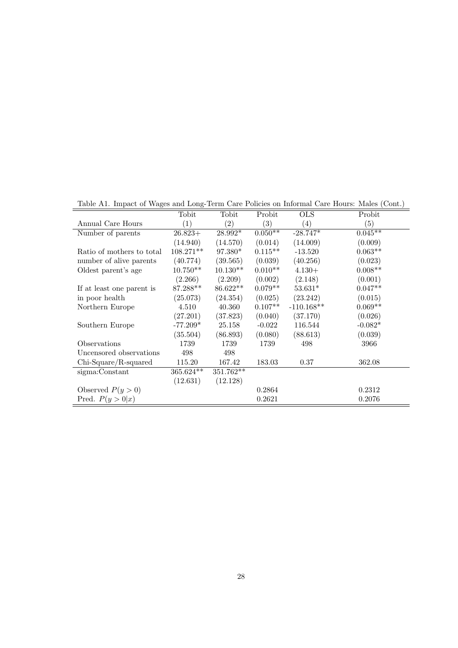|                           | Tobit            | Tobit             | Probit    | <b>OLS</b>        | Probit            |
|---------------------------|------------------|-------------------|-----------|-------------------|-------------------|
| Annual Care Hours         | $\left(1\right)$ | $\left( 2\right)$ | (3)       | $\left( 4\right)$ | $\left( 5\right)$ |
| Number of parents         | $26.823+$        | $28.992*$         | $0.050**$ | $-28.747*$        | $0.045**$         |
|                           | (14.940)         | (14.570)          | (0.014)   | (14.009)          | (0.009)           |
| Ratio of mothers to total | 108.271**        | 97.380*           | $0.115**$ | $-13.520$         | $0.063**$         |
| number of alive parents   | (40.774)         | (39.565)          | (0.039)   | (40.256)          | (0.023)           |
| Oldest parent's age       | $10.750**$       | $10.130**$        | $0.010**$ | $4.130+$          | $0.008**$         |
|                           | (2.266)          | (2.209)           | (0.002)   | (2.148)           | (0.001)           |
| If at least one parent is | 87.288**         | 86.622**          | $0.079**$ | $53.631*$         | $0.047**$         |
| in poor health            | (25.073)         | (24.354)          | (0.025)   | (23.242)          | (0.015)           |
| Northern Europe           | 4.510            | 40.360            | $0.107**$ | $-110.168**$      | $0.069**$         |
|                           | (27.201)         | (37.823)          | (0.040)   | (37.170)          | (0.026)           |
| Southern Europe           | $-77.209*$       | 25.158            | $-0.022$  | 116.544           | $-0.082*$         |
|                           | (35.504)         | (86.893)          | (0.080)   | (88.613)          | (0.039)           |
| Observations              | 1739             | 1739              | 1739      | 498               | 3966              |
| Uncensored observations   | 498              | 498               |           |                   |                   |
| $Chi-Square/R-squared$    | 115.20           | 167.42            | 183.03    | 0.37              | 362.08            |
| sigma:Constant            | $365.624**$      | 351.762**         |           |                   |                   |
|                           | (12.631)         | (12.128)          |           |                   |                   |
| Observed $P(y>0)$         |                  |                   | 0.2864    |                   | 0.2312            |
| Pred. $P(y > 0 x)$        |                  |                   | 0.2621    |                   | 0.2076            |

Table A1. Impact of Wages and Long-Term Care Policies on Informal Care Hours: Males (Cont.)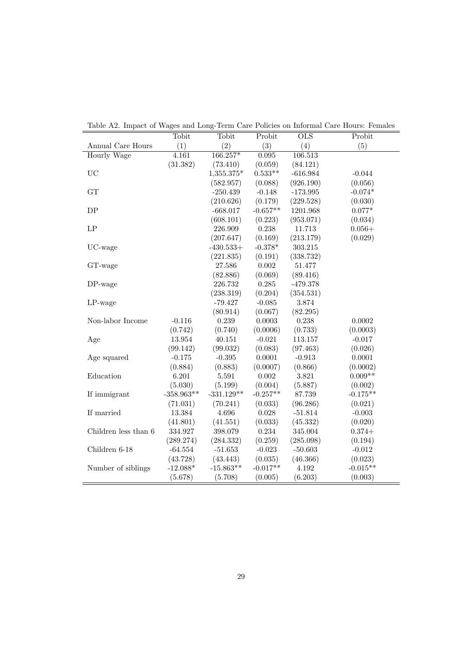|                      | Tobit        | Tobit        | Probit     | $\overline{\text{OLS}}$ | Probit     |
|----------------------|--------------|--------------|------------|-------------------------|------------|
| Annual Care Hours    | (1)          | (2)          | (3)        | (4)                     | (5)        |
| <b>Hourly Wage</b>   | 4.161        | 166.257*     | 0.095      | 106.513                 |            |
|                      | (31.382)     | (73.410)     | (0.059)    | (84.121)                |            |
| UC                   |              | 1,355.375*   | $0.533**$  | $-616.984$              | $-0.044$   |
|                      |              | (582.957)    | (0.088)    | (926.190)               | (0.056)    |
| GT                   |              | $-250.439$   | $-0.148$   | $-173.995$              | $-0.074*$  |
|                      |              | (210.626)    | (0.179)    | (229.528)               | (0.030)    |
| DP                   |              | $-668.017$   | $-0.657**$ | 1201.968                | $0.077*$   |
|                      |              | (608.101)    | (0.223)    | (953.071)               | (0.034)    |
| $\mathrm{LP}$        |              | 226.909      | 0.238      | 11.713                  | $0.056+$   |
|                      |              | (207.647)    | (0.169)    | (213.179)               | (0.029)    |
| UC-wage              |              | $-430.533+$  | $-0.378*$  | 303.215                 |            |
|                      |              | (221.835)    | (0.191)    | (338.732)               |            |
| GT-wage              |              | 27.586       | 0.002      | 51.477                  |            |
|                      |              | (82.886)     | (0.069)    | (89.416)                |            |
| $DP$ -wage           |              | 226.732      | 0.285      | $-479.378$              |            |
|                      |              | (238.319)    | (0.204)    | (354.531)               |            |
| $LP$ -wage           |              | $-79.427$    | $-0.085$   | 3.874                   |            |
|                      |              | (80.914)     | (0.067)    | (82.295)                |            |
| Non-labor Income     | $-0.116$     | 0.239        | 0.0003     | 0.238                   | $0.0002\,$ |
|                      | (0.742)      | (0.740)      | (0.0006)   | (0.733)                 | (0.0003)   |
| Age                  | 13.954       | 40.151       | $-0.021$   | 113.157                 | $-0.017$   |
|                      | (99.142)     | (99.032)     | (0.083)    | (97.463)                | (0.026)    |
| Age squared          | $-0.175$     | $-0.395$     | 0.0001     | $-0.913$                | 0.0001     |
|                      | (0.884)      | (0.883)      | (0.0007)   | (0.866)                 | (0.0002)   |
| Education            | 6.201        | 5.591        | 0.002      | 3.821                   | $0.009**$  |
|                      | (5.030)      | (5.199)      | (0.004)    | (5.887)                 | (0.002)    |
| If immigrant         | $-358.963**$ | $-331.129**$ | $-0.257**$ | 87.739                  | $-0.175**$ |
|                      | (71.031)     | (70.241)     | (0.033)    | (96.286)                | (0.021)    |
| If married           | 13.384       | 4.696        | 0.028      | $-51.814$               | $-0.003$   |
|                      | (41.801)     | (41.551)     | (0.033)    | (45.332)                | (0.020)    |
| Children less than 6 | 334.927      | 398.079      | 0.234      | 345.004                 | $0.374+$   |
|                      | (289.274)    | (284.332)    | (0.259)    | (285.098)               | (0.194)    |
| Children 6-18        | $-64.554$    | $-51.653$    | $-0.023$   | $-50.603$               | $-0.012$   |
|                      | (43.728)     | (43.443)     | (0.035)    | (46.366)                | (0.023)    |
| Number of siblings   | $-12.088*$   | $-15.863**$  | $-0.017**$ | 4.192                   | $-0.015**$ |
|                      | (5.678)      | (5.708)      | (0.005)    | (6.203)                 | (0.003)    |
|                      |              |              |            |                         |            |

Table A2. Impact of Wages and Long-Term Care Policies on Informal Care Hours: Females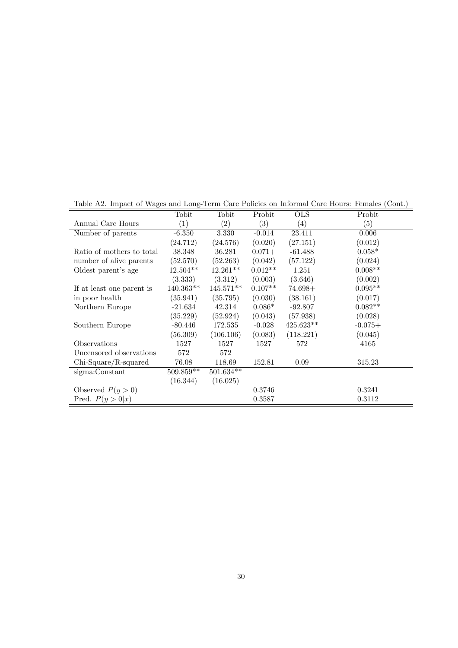|                           | Tobit       | Tobit       | Probit    | <b>OLS</b>       | Probit    |
|---------------------------|-------------|-------------|-----------|------------------|-----------|
| Annual Care Hours         | (1)         | (2)         | (3)       | $\left(4\right)$ | (5)       |
| Number of parents         | $-6.350$    | 3.330       | $-0.014$  | 23.411           | 0.006     |
|                           | (24.712)    | (24.576)    | (0.020)   | (27.151)         | (0.012)   |
| Ratio of mothers to total | 38.348      | 36.281      | $0.071+$  | $-61.488$        | $0.058*$  |
| number of alive parents   | (52.570)    | (52.263)    | (0.042)   | (57.122)         | (0.024)   |
| Oldest parent's age       | $12.504**$  | $12.261**$  | $0.012**$ | 1.251            | $0.008**$ |
|                           | (3.333)     | (3.312)     | (0.003)   | (3.646)          | (0.002)   |
| If at least one parent is | $140.363**$ | 145.571**   | $0.107**$ | $74.698+$        | $0.095**$ |
| in poor health            | (35.941)    | (35.795)    | (0.030)   | (38.161)         | (0.017)   |
| Northern Europe           | $-21.634$   | 42.314      | $0.086*$  | $-92.807$        | $0.082**$ |
|                           | (35.229)    | (52.924)    | (0.043)   | (57.938)         | (0.028)   |
| Southern Europe           | $-80.446$   | 172.535     | $-0.028$  | $425.623**$      | $-0.075+$ |
|                           | (56.309)    | (106.106)   | (0.083)   | (118.221)        | (0.045)   |
| Observations              | 1527        | 1527        | 1527      | 572              | 4165      |
| Uncensored observations   | 572         | 572         |           |                  |           |
| $Chi-Square/R-squared$    | 76.08       | 118.69      | 152.81    | 0.09             | 315.23    |
| sigma:Constant            | $509.859**$ | $501.634**$ |           |                  |           |
|                           | (16.344)    | (16.025)    |           |                  |           |
| Observed $P(y>0)$         |             |             | 0.3746    |                  | 0.3241    |
| Pred. $P(y > 0 x)$        |             |             | 0.3587    |                  | 0.3112    |

Table A2. Impact of Wages and Long-Term Care Policies on Informal Care Hours: Females (Cont.)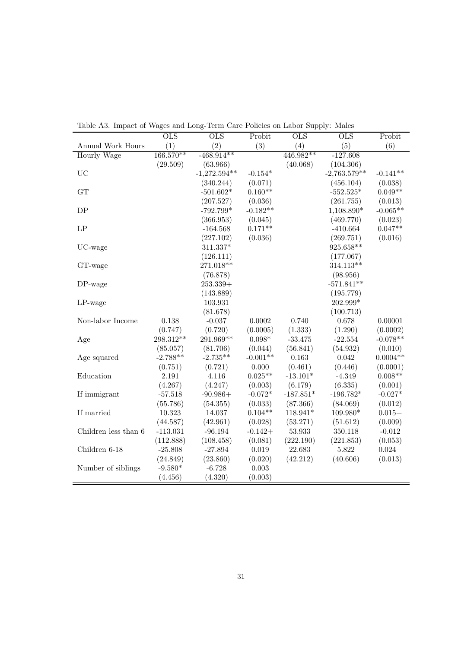|                      | $\overline{\text{OLS}}$ | $\overline{\text{OLS}}$ | Probit     | OLS         | $\overline{\text{OLS}}$ | Probit     |
|----------------------|-------------------------|-------------------------|------------|-------------|-------------------------|------------|
| Annual Work Hours    | (1)                     | (2)                     | (3)        | (4)         | (5)                     | (6)        |
| Hourly Wage          | $166.570**$             | $-468.914**$            |            | $446.982**$ | $-127.608$              |            |
|                      | (29.509)                | (63.966)                |            | (40.068)    | (104.306)               |            |
| <b>UC</b>            |                         | $-1,272.594**$          | $-0.154*$  |             | $-2,763.579**$          | $-0.141**$ |
|                      |                         | (340.244)               | (0.071)    |             | (456.104)               | (0.038)    |
| GT                   |                         | $-501.602*$             | $0.160**$  |             | $-552.525*$             | $0.049**$  |
|                      |                         | (207.527)               | (0.036)    |             | (261.755)               | (0.013)    |
| DP                   |                         | $-792.799*$             | $-0.182**$ |             | 1,108.890*              | $-0.065**$ |
|                      |                         | (366.953)               | (0.045)    |             | (469.770)               | (0.023)    |
| LP                   |                         | $-164.568$              | $0.171**$  |             | $-410.664$              | $0.047**$  |
|                      |                         | (227.102)               | (0.036)    |             | (269.751)               | (0.016)    |
| UC-wage              |                         | $311.337*$              |            |             | $925.658**$             |            |
|                      |                         | (126.111)               |            |             | (177.067)               |            |
| GT-wage              |                         | 271.018**               |            |             | $314.113**$             |            |
|                      |                         | (76.878)                |            |             | (98.956)                |            |
| DP-wage              |                         | $253.339+$              |            |             | $-571.841**$            |            |
|                      |                         | (143.889)               |            |             | (195.779)               |            |
| $LP$ -wage           |                         | 103.931                 |            |             | 202.999*                |            |
|                      |                         | (81.678)                |            |             | (100.713)               |            |
| Non-labor Income     | 0.138                   | $-0.037$                | 0.0002     | 0.740       | 0.678                   | 0.00001    |
|                      | (0.747)                 | (0.720)                 | (0.0005)   | (1.333)     | (1.290)                 | (0.0002)   |
| Age                  | 298.312**               | $291.969**$             | $0.098*$   | $-33.475$   | $-22.554$               | $-0.078**$ |
|                      | (85.057)                | (81.706)                | (0.044)    | (56.841)    | (54.932)                | (0.010)    |
| Age squared          | $-2.788**$              | $-2.735**$              | $-0.001**$ | 0.163       | 0.042                   | $0.0004**$ |
|                      | (0.751)                 | (0.721)                 | 0.000      | (0.461)     | (0.446)                 | (0.0001)   |
| Education            | 2.191                   | 4.116                   | $0.025**$  | $-13.101*$  | $-4.349$                | $0.008**$  |
|                      | (4.267)                 | (4.247)                 | (0.003)    | (6.179)     | (6.335)                 | (0.001)    |
| If immigrant         | $-57.518$               | $-90.986+$              | $-0.072*$  | $-187.851*$ | $-196.782*$             | $-0.027*$  |
|                      | (55.786)                | (54.355)                | (0.033)    | (87.366)    | (84.069)                | (0.012)    |
| If married           | 10.323                  | 14.037                  | $0.104**$  | 118.941*    | 109.980*                | $0.015+$   |
|                      | (44.587)                | (42.961)                | (0.028)    | (53.271)    | (51.612)                | (0.009)    |
| Children less than 6 | $-113.031$              | $-96.194$               | $-0.142+$  | 53.933      | 350.118                 | $-0.012$   |
|                      | (112.888)               | (108.458)               | (0.081)    | (222.190)   | (221.853)               | (0.053)    |
| Children 6-18        | $-25.808$               | $-27.894$               | 0.019      | 22.683      | 5.822                   | $0.024 +$  |
|                      | (24.849)                | (23.860)                | (0.020)    | (42.212)    | (40.606)                | (0.013)    |
| Number of siblings   | $-9.580*$               | $-6.728$                | 0.003      |             |                         |            |
|                      | (4.456)                 | (4.320)                 | (0.003)    |             |                         |            |
|                      |                         |                         |            |             |                         |            |

Table A3. Impact of Wages and Long-Term Care Policies on Labor Supply: Males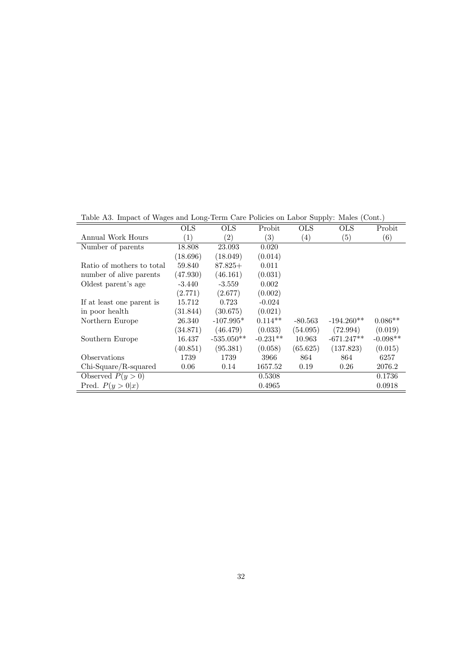Table A3. Impact of Wages and Long-Term Care Policies on Labor Supply: Males (Cont.)

|                           | OLS              | <b>OLS</b>        | Probit     | OLS               | <b>OLS</b>        | Probit            |
|---------------------------|------------------|-------------------|------------|-------------------|-------------------|-------------------|
| Annual Work Hours         | $\left(1\right)$ | $\left( 2\right)$ | (3)        | $\left( 4\right)$ | $\left( 5\right)$ | $\left( 6\right)$ |
| Number of parents         | 18.808           | 23.093            | 0.020      |                   |                   |                   |
|                           | (18.696)         | (18.049)          | (0.014)    |                   |                   |                   |
| Ratio of mothers to total | 59.840           | $87.825+$         | 0.011      |                   |                   |                   |
| number of alive parents   | (47.930)         | (46.161)          | (0.031)    |                   |                   |                   |
| Oldest parent's age       | $-3.440$         | $-3.559$          | 0.002      |                   |                   |                   |
|                           | (2.771)          | (2.677)           | (0.002)    |                   |                   |                   |
| If at least one parent is | 15.712           | 0.723             | $-0.024$   |                   |                   |                   |
| in poor health            | (31.844)         | (30.675)          | (0.021)    |                   |                   |                   |
| Northern Europe           | 26.340           | $-107.995*$       | $0.114**$  | $-80.563$         | $-194.260**$      | $0.086**$         |
|                           | (34.871)         | (46.479)          | (0.033)    | (54.095)          | (72.994)          | (0.019)           |
| Southern Europe           | 16.437           | $-535.050**$      | $-0.231**$ | 10.963            | $-671.247**$      | $-0.098**$        |
|                           | (40.851)         | (95.381)          | (0.058)    | (65.625)          | (137.823)         | (0.015)           |
| Observations              | 1739             | 1739              | 3966       | 864               | 864               | 6257              |
| $Chi-Square/R-squared$    | 0.06             | 0.14              | 1657.52    | 0.19              | 0.26              | 2076.2            |
| Observed $P(y>0)$         |                  |                   | 0.5308     |                   |                   | 0.1736            |
| Pred. $P(y > 0 x)$        |                  |                   | 0.4965     |                   |                   | 0.0918            |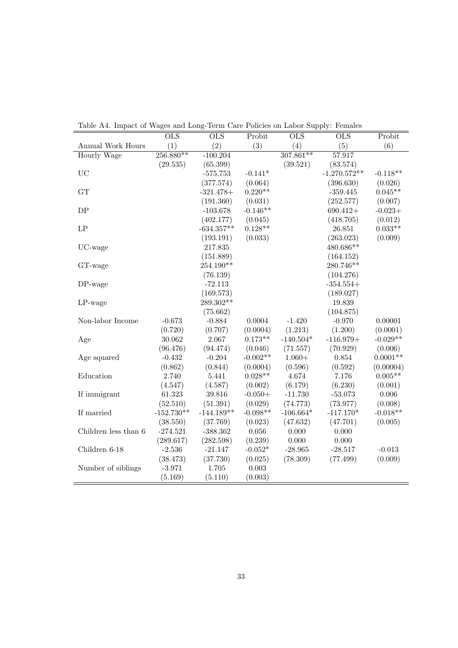|                      | OLS          | OLS          | Probit     | OLS         | $\overline{\text{OLS}}$ | Probit             |
|----------------------|--------------|--------------|------------|-------------|-------------------------|--------------------|
| Annual Work Hours    | (1)          | (2)          | (3)        | (4)         | (5)                     | (6)                |
| <b>Hourly Wage</b>   | $256.880**$  | $-100.204$   |            | $307.861**$ | 57.917                  |                    |
|                      | (29.535)     | (65.399)     |            | (39.521)    | (83.574)                |                    |
| <b>UC</b>            |              | $-575.753$   | $-0.141*$  |             | $-1,270.572**$          | $-0.118**$         |
|                      |              | (377.574)    | (0.064)    |             | (396.630)               | (0.026)            |
| ${\rm GT}$           |              | $-321.478+$  | $0.220**$  |             | $-359.445$              | $0.045**$          |
|                      |              | (191.360)    | (0.031)    |             | (252.577)               | (0.007)            |
| DP                   |              | $-103.678$   | $-0.146**$ |             | $690.412+$              | $-0.023+$          |
|                      |              | (402.177)    | (0.045)    |             | (418.705)               | (0.012)            |
| LP                   |              | $-634.357**$ | $0.128**$  |             | 26.851                  | $0.033**$          |
|                      |              | (193.191)    | (0.033)    |             | (263.023)               | (0.009)            |
| UC-wage              |              | 217.835      |            |             | 480.686**               |                    |
|                      |              | (151.889)    |            |             | (164.152)               |                    |
| GT-wage              |              | 254.190**    |            |             | 280.746**               |                    |
|                      |              | (76.139)     |            |             | (104.276)               |                    |
| DP-wage              |              | $-72.113$    |            |             | $-354.554+$             |                    |
|                      |              | (169.573)    |            |             | (189.027)               |                    |
| $LP$ -wage           |              | 289.302**    |            |             | 19.839                  |                    |
|                      |              | (75.662)     |            |             | (104.875)               |                    |
| Non-labor Income     | $-0.673$     | $-0.884$     | 0.0004     | $-1.420$    | $-0.970$                | 0.00001            |
|                      | (0.720)      | (0.707)      | (0.0004)   | (1.213)     | (1.200)                 | (0.0001)           |
| Age                  | 30.062       | 2.067        | $0.173**$  | $-140.504*$ | $-116.979+$             | $-0.029**$         |
|                      | (96.476)     | (94.474)     | (0.046)    | (71.557)    | (70.929)                | (0.006)            |
| Age squared          | $-0.432$     | $-0.204$     | $-0.002**$ | $1.060+$    | 0.854                   | $0.0001**$         |
|                      | (0.862)      | (0.844)      | (0.0004)   | (0.596)     | (0.592)                 | (0.00004)          |
| Education            | 2.740        | 5.441        | $0.028**$  | 4.674       | 7.176                   | $0.005^{\ast\ast}$ |
|                      | (4.547)      | (4.587)      | (0.002)    | (6.179)     | (6.230)                 | (0.001)            |
| If immigrant         | 61.323       | 39.816       | $-0.050+$  | $-11.730$   | $-53.073$               | $0.006\,$          |
|                      | (52.510)     | (51.391)     | (0.029)    | (74.773)    | (73.977)                | (0.008)            |
| If married           | $-152.730**$ | $-144.189**$ | $-0.098**$ | $-106.664*$ | $-117.170*$             | $-0.018**$         |
|                      | (38.550)     | (37.769)     | (0.023)    | (47.632)    | (47.701)                | (0.005)            |
| Children less than 6 | $-274.521$   | $-388.362$   | 0.056      | 0.000       | 0.000                   |                    |
|                      | (289.617)    | (282.598)    | (0.239)    | 0.000       | 0.000                   |                    |
| Children 6-18        | $-2.536$     | $-21.147$    | $-0.052*$  | $-28.965$   | $-28.517$               | $-0.013$           |
|                      | (38.473)     | (37.730)     | (0.025)    | (78.309)    | (77.499)                | (0.009)            |
| Number of siblings   | $-3.971$     | 1.705        | 0.003      |             |                         |                    |
|                      | (5.169)      | (5.110)      | (0.003)    |             |                         |                    |

Table A4. Impact of Wages and Long-Term Care Policies on Labor Supply: Females